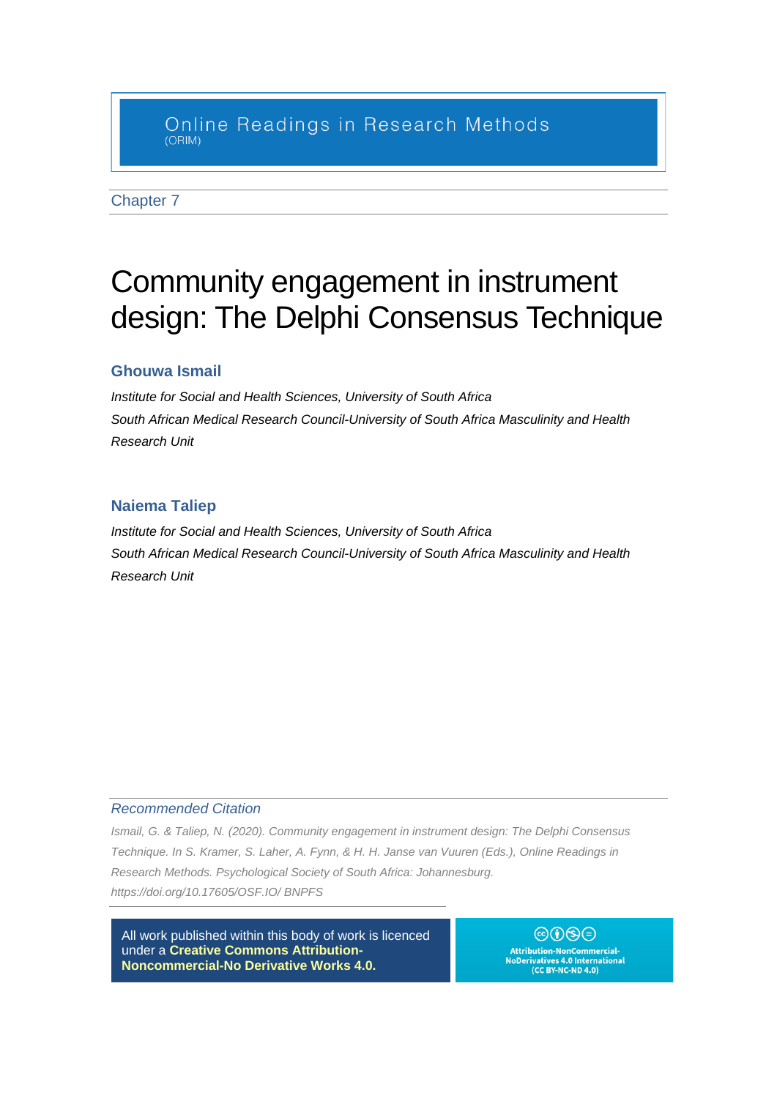## Online Readings in Research Methods  $(ORIM)$

Chapter 7

# Community engagement in instrument design: The Delphi Consensus Technique

## **Ghouwa Ismail**

*Institute for Social and Health Sciences, University of South Africa South African Medical Research Council-University of South Africa Masculinity and Health Research Unit*

## **Naiema Taliep**

*Institute for Social and Health Sciences, University of South Africa South African Medical Research Council-University of South Africa Masculinity and Health Research Unit*

#### *Recommended Citation*

*Ismail, G. & Taliep, N. (2020). Community engagement in instrument design: The Delphi Consensus Technique. In S. Kramer, S. Laher, A. Fynn, & H. H. Janse van Vuuren (Eds.), Online Readings in Research Methods. Psychological Society of South Africa: Johannesburg. https://doi.org/10.17605/OSF.IO/ BNPFS*

All work published within this body of work is licenced under a **Creative Commons [Attribution-](https://creativecommons.org/licenses/by-nc-nd/4.0/)[Noncommercial-No](https://creativecommons.org/licenses/by-nc-nd/4.0/) Derivative Works 4.0.**

 $@0@@$ Attribution-NonCommercial-<br>NoDerivatives 4.0 International<br>(CC BY-NC-ND 4.0)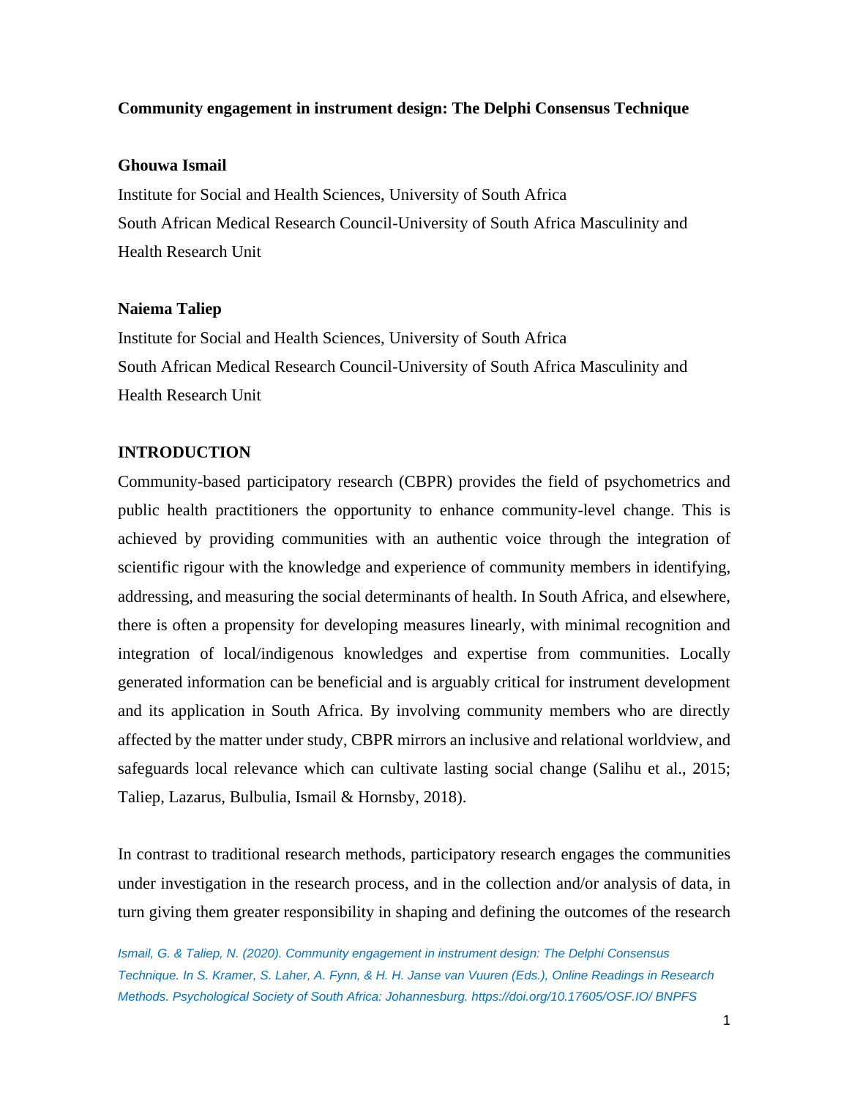## **Community engagement in instrument design: The Delphi Consensus Technique**

## **Ghouwa Ismail**

Institute for Social and Health Sciences, University of South Africa South African Medical Research Council-University of South Africa Masculinity and Health Research Unit

## **Naiema Taliep**

Institute for Social and Health Sciences, University of South Africa South African Medical Research Council-University of South Africa Masculinity and Health Research Unit

## **INTRODUCTION**

Community-based participatory research (CBPR) provides the field of psychometrics and public health practitioners the opportunity to enhance community-level change. This is achieved by providing communities with an authentic voice through the integration of scientific rigour with the knowledge and experience of community members in identifying, addressing, and measuring the social determinants of health. In South Africa, and elsewhere, there is often a propensity for developing measures linearly, with minimal recognition and integration of local/indigenous knowledges and expertise from communities. Locally generated information can be beneficial and is arguably critical for instrument development and its application in South Africa. By involving community members who are directly affected by the matter under study, CBPR mirrors an inclusive and relational worldview, and safeguards local relevance which can cultivate lasting social change (Salihu et al., 2015; Taliep, Lazarus, Bulbulia, Ismail & Hornsby, 2018).

In contrast to traditional research methods, participatory research engages the communities under investigation in the research process, and in the collection and/or analysis of data, in turn giving them greater responsibility in shaping and defining the outcomes of the research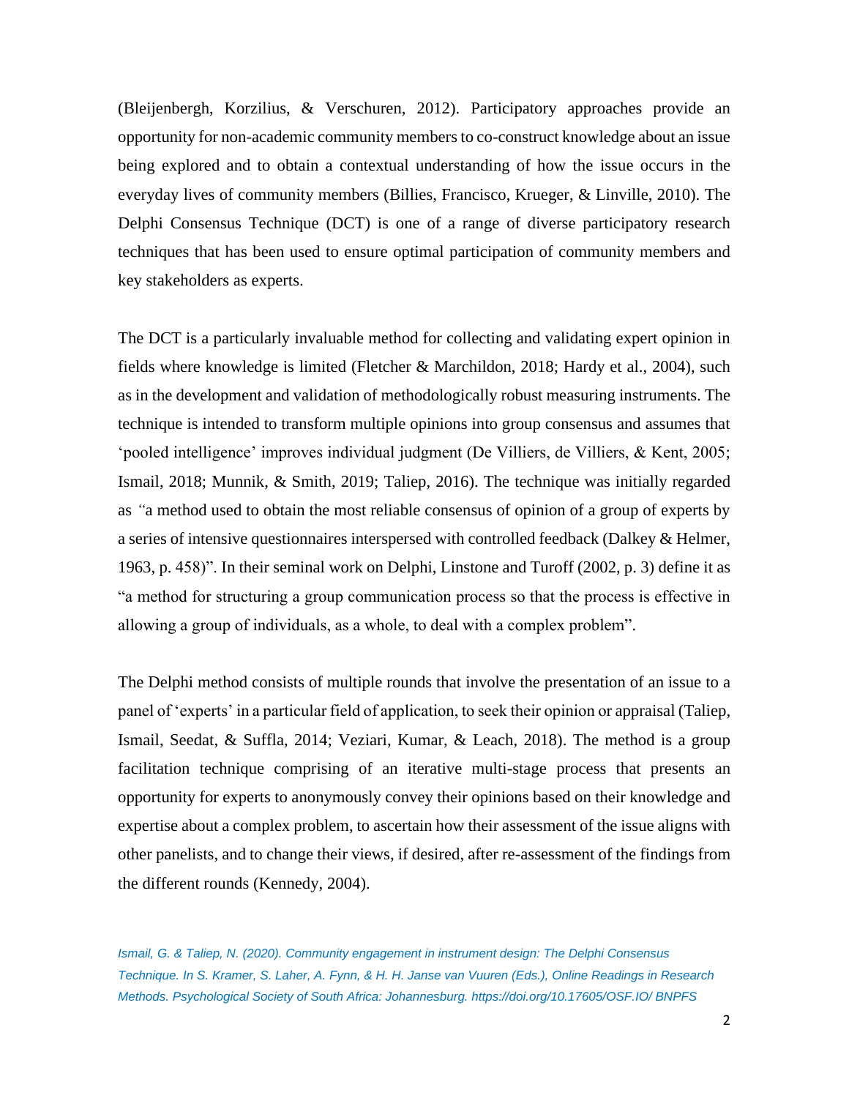(Bleijenbergh, Korzilius, & Verschuren, 2012). Participatory approaches provide an opportunity for non-academic community members to co-construct knowledge about an issue being explored and to obtain a contextual understanding of how the issue occurs in the everyday lives of community members (Billies, Francisco, Krueger, & Linville, 2010). The Delphi Consensus Technique (DCT) is one of a range of diverse participatory research techniques that has been used to ensure optimal participation of community members and key stakeholders as experts.

The DCT is a particularly invaluable method for collecting and validating expert opinion in fields where knowledge is limited (Fletcher & Marchildon, 2018; Hardy et al., 2004), such as in the development and validation of methodologically robust measuring instruments. The technique is intended to transform multiple opinions into group consensus and assumes that 'pooled intelligence' improves individual judgment (De Villiers, de Villiers, & Kent, 2005; Ismail, 2018; Munnik, & Smith, 2019; Taliep, 2016). The technique was initially regarded as *"*a method used to obtain the most reliable consensus of opinion of a group of experts by a series of intensive questionnaires interspersed with controlled feedback (Dalkey & Helmer, 1963, p. 458)". In their seminal work on Delphi, Linstone and Turoff (2002, p. 3) define it as "a method for structuring a group communication process so that the process is effective in allowing a group of individuals, as a whole, to deal with a complex problem".

The Delphi method consists of multiple rounds that involve the presentation of an issue to a panel of 'experts' in a particular field of application, to seek their opinion or appraisal (Taliep, Ismail, Seedat, & Suffla, 2014; Veziari, Kumar, & Leach, 2018). The method is a group facilitation technique comprising of an iterative multi-stage process that presents an opportunity for experts to anonymously convey their opinions based on their knowledge and expertise about a complex problem, to ascertain how their assessment of the issue aligns with other panelists, and to change their views, if desired, after re-assessment of the findings from the different rounds (Kennedy, 2004).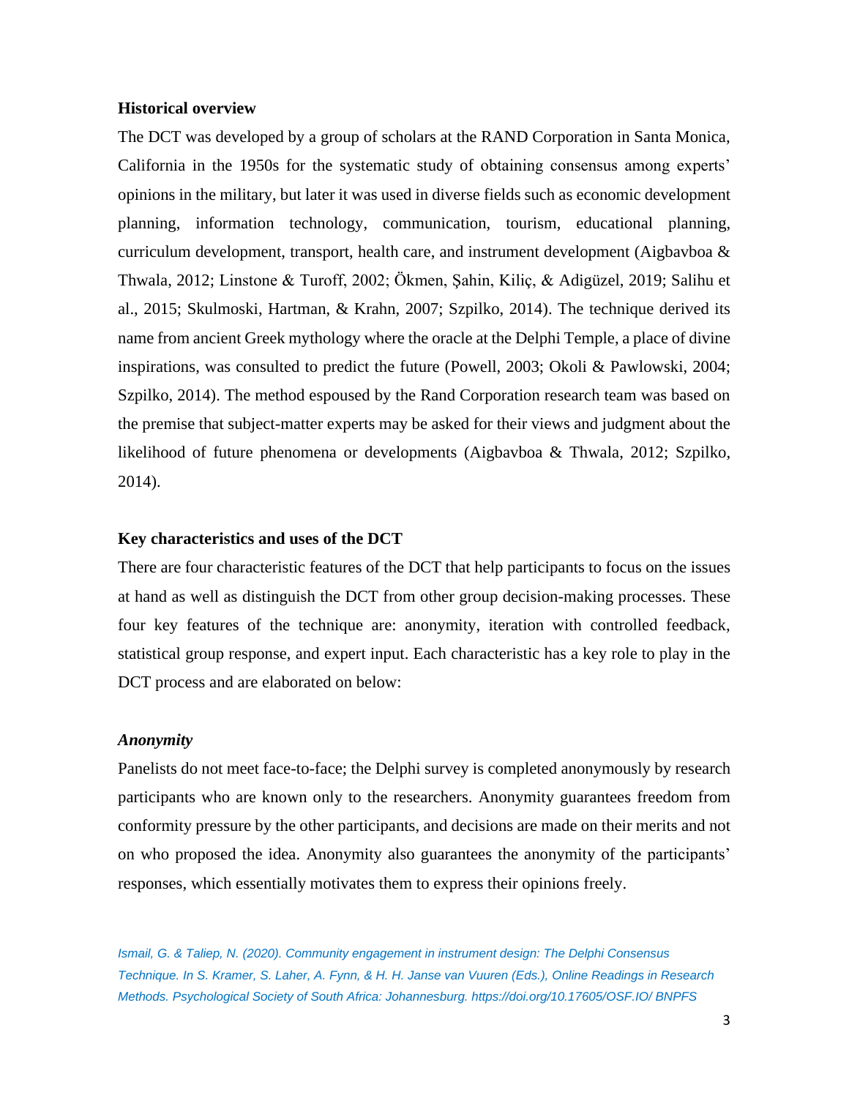#### **Historical overview**

The DCT was developed by a group of scholars at the RAND Corporation in Santa Monica, California in the 1950s for the systematic study of obtaining consensus among experts' opinions in the military, but later it was used in diverse fields such as economic development planning, information technology, communication, tourism, educational planning, curriculum development, transport, health care, and instrument development (Aigbavboa & Thwala, 2012; Linstone & Turoff, 2002; Ökmen, Şahin, Kiliç, & Adigüzel, 2019; Salihu et al., 2015; Skulmoski, Hartman, & Krahn, 2007; Szpilko, 2014). The technique derived its name from ancient Greek mythology where the oracle at the Delphi Temple, a place of divine inspirations, was consulted to predict the future (Powell, 2003; Okoli & Pawlowski, 2004; Szpilko, 2014). The method espoused by the Rand Corporation research team was based on the premise that subject-matter experts may be asked for their views and judgment about the likelihood of future phenomena or developments (Aigbavboa & Thwala, 2012; Szpilko, 2014).

## **Key characteristics and uses of the DCT**

There are four characteristic features of the DCT that help participants to focus on the issues at hand as well as distinguish the DCT from other group decision-making processes. These four key features of the technique are: anonymity, iteration with controlled feedback, statistical group response, and expert input. Each characteristic has a key role to play in the DCT process and are elaborated on below:

## *Anonymity*

Panelists do not meet face-to-face; the Delphi survey is completed anonymously by research participants who are known only to the researchers. Anonymity guarantees freedom from conformity pressure by the other participants, and decisions are made on their merits and not on who proposed the idea. Anonymity also guarantees the anonymity of the participants' responses, which essentially motivates them to express their opinions freely.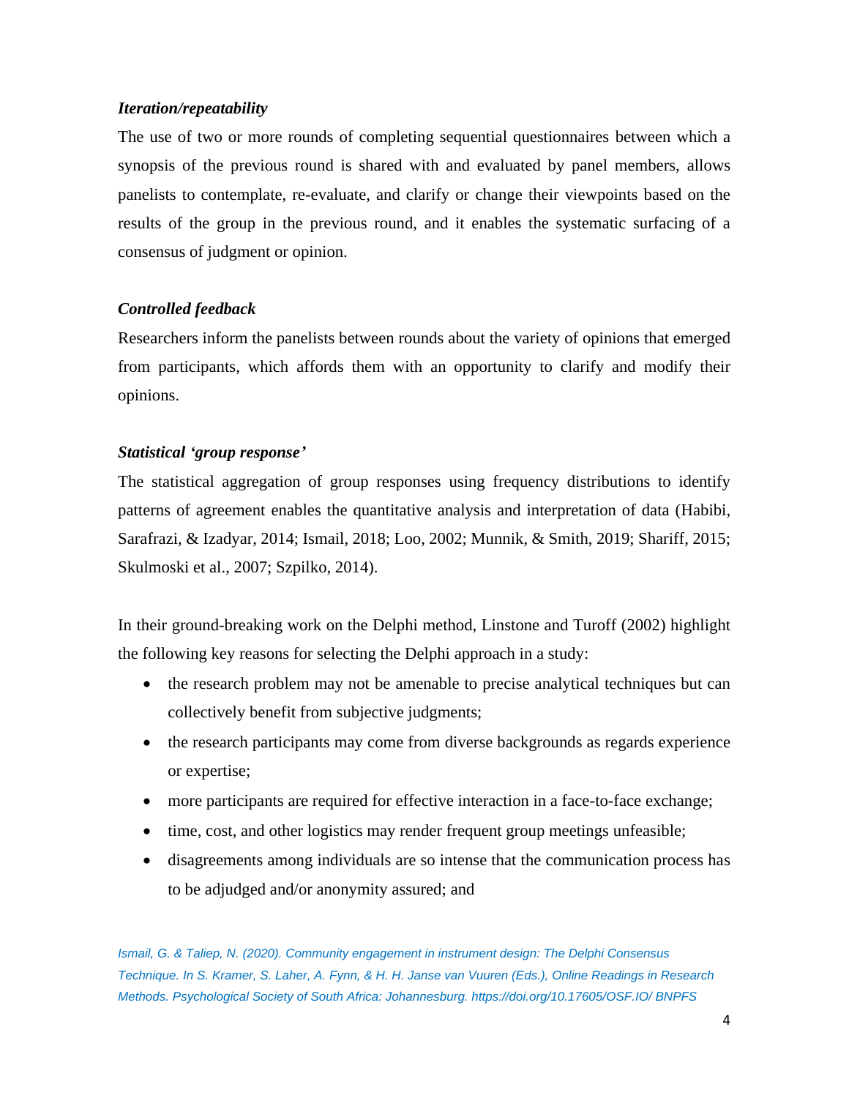## *Iteration/repeatability*

The use of two or more rounds of completing sequential questionnaires between which a synopsis of the previous round is shared with and evaluated by panel members, allows panelists to contemplate, re-evaluate, and clarify or change their viewpoints based on the results of the group in the previous round, and it enables the systematic surfacing of a consensus of judgment or opinion.

## *Controlled feedback*

Researchers inform the panelists between rounds about the variety of opinions that emerged from participants, which affords them with an opportunity to clarify and modify their opinions.

## *Statistical 'group response'*

The statistical aggregation of group responses using frequency distributions to identify patterns of agreement enables the quantitative analysis and interpretation of data (Habibi, Sarafrazi, & Izadyar, 2014; Ismail, 2018; Loo, 2002; Munnik, & Smith, 2019; Shariff, 2015; Skulmoski et al., 2007; Szpilko, 2014).

In their ground-breaking work on the Delphi method, Linstone and Turoff (2002) highlight the following key reasons for selecting the Delphi approach in a study:

- the research problem may not be amenable to precise analytical techniques but can collectively benefit from subjective judgments;
- the research participants may come from diverse backgrounds as regards experience or expertise;
- more participants are required for effective interaction in a face-to-face exchange;
- time, cost, and other logistics may render frequent group meetings unfeasible;
- disagreements among individuals are so intense that the communication process has to be adjudged and/or anonymity assured; and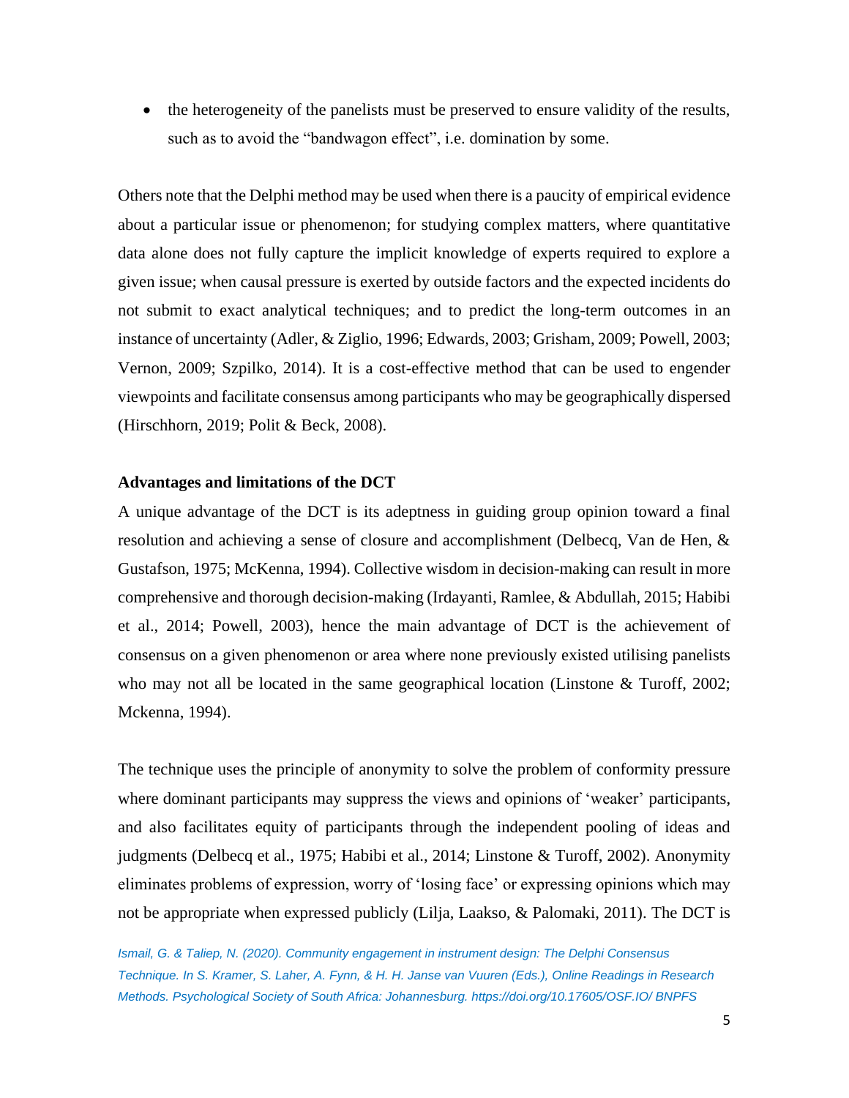• the heterogeneity of the panelists must be preserved to ensure validity of the results, such as to avoid the "bandwagon effect", i.e. domination by some.

Others note that the Delphi method may be used when there is a paucity of empirical evidence about a particular issue or phenomenon; for studying complex matters, where quantitative data alone does not fully capture the implicit knowledge of experts required to explore a given issue; when causal pressure is exerted by outside factors and the expected incidents do not submit to exact analytical techniques; and to predict the long-term outcomes in an instance of uncertainty (Adler, & Ziglio, 1996; Edwards, 2003; Grisham, 2009; Powell, 2003; Vernon, 2009; Szpilko, 2014). It is a cost-effective method that can be used to engender viewpoints and facilitate consensus among participants who may be geographically dispersed (Hirschhorn, 2019; Polit & Beck, 2008).

## **Advantages and limitations of the DCT**

A unique advantage of the DCT is its adeptness in guiding group opinion toward a final resolution and achieving a sense of closure and accomplishment (Delbecq, Van de Hen, & Gustafson, 1975; McKenna, 1994). Collective wisdom in decision-making can result in more comprehensive and thorough decision-making (Irdayanti, Ramlee, & Abdullah, 2015; Habibi et al., 2014; Powell, 2003), hence the main advantage of DCT is the achievement of consensus on a given phenomenon or area where none previously existed utilising panelists who may not all be located in the same geographical location (Linstone & Turoff, 2002; Mckenna, 1994).

The technique uses the principle of anonymity to solve the problem of conformity pressure where dominant participants may suppress the views and opinions of 'weaker' participants, and also facilitates equity of participants through the independent pooling of ideas and judgments (Delbecq et al., 1975; Habibi et al., 2014; Linstone & Turoff, 2002). Anonymity eliminates problems of expression, worry of 'losing face' or expressing opinions which may not be appropriate when expressed publicly (Lilja, Laakso, & Palomaki, 2011). The DCT is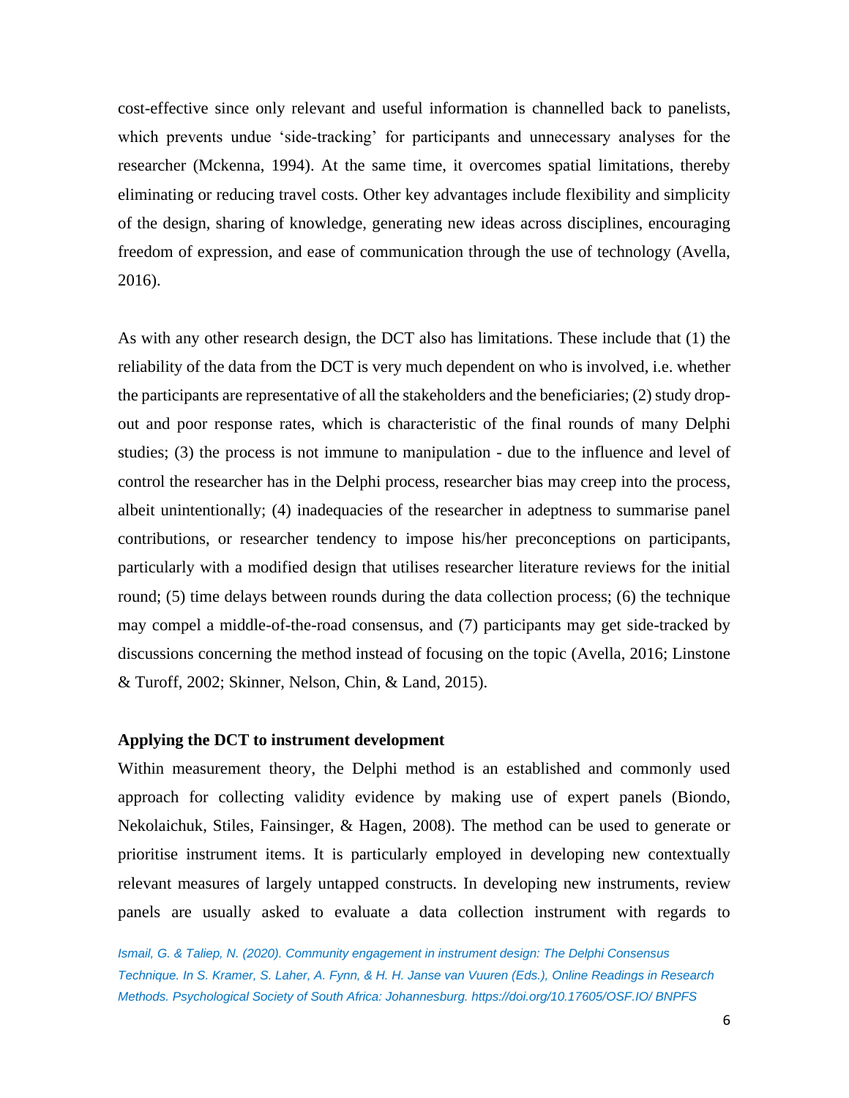cost-effective since only relevant and useful information is channelled back to panelists, which prevents undue 'side-tracking' for participants and unnecessary analyses for the researcher (Mckenna, 1994). At the same time, it overcomes spatial limitations, thereby eliminating or reducing travel costs. Other key advantages include flexibility and simplicity of the design, sharing of knowledge, generating new ideas across disciplines, encouraging freedom of expression, and ease of communication through the use of technology (Avella, 2016).

As with any other research design, the DCT also has limitations. These include that (1) the reliability of the data from the DCT is very much dependent on who is involved, i.e. whether the participants are representative of all the stakeholders and the beneficiaries; (2) study dropout and poor response rates, which is characteristic of the final rounds of many Delphi studies; (3) the process is not immune to manipulation - due to the influence and level of control the researcher has in the Delphi process, researcher bias may creep into the process, albeit unintentionally; (4) inadequacies of the researcher in adeptness to summarise panel contributions, or researcher tendency to impose his/her preconceptions on participants, particularly with a modified design that utilises researcher literature reviews for the initial round; (5) time delays between rounds during the data collection process; (6) the technique may compel a middle-of-the-road consensus, and (7) participants may get side-tracked by discussions concerning the method instead of focusing on the topic (Avella, 2016; Linstone & Turoff, 2002; Skinner, Nelson, Chin, & Land, 2015).

## **Applying the DCT to instrument development**

Within measurement theory, the Delphi method is an established and commonly used approach for collecting validity evidence by making use of expert panels (Biondo, Nekolaichuk, Stiles, Fainsinger, & Hagen, 2008). The method can be used to generate or prioritise instrument items. It is particularly employed in developing new contextually relevant measures of largely untapped constructs. In developing new instruments, review panels are usually asked to evaluate a data collection instrument with regards to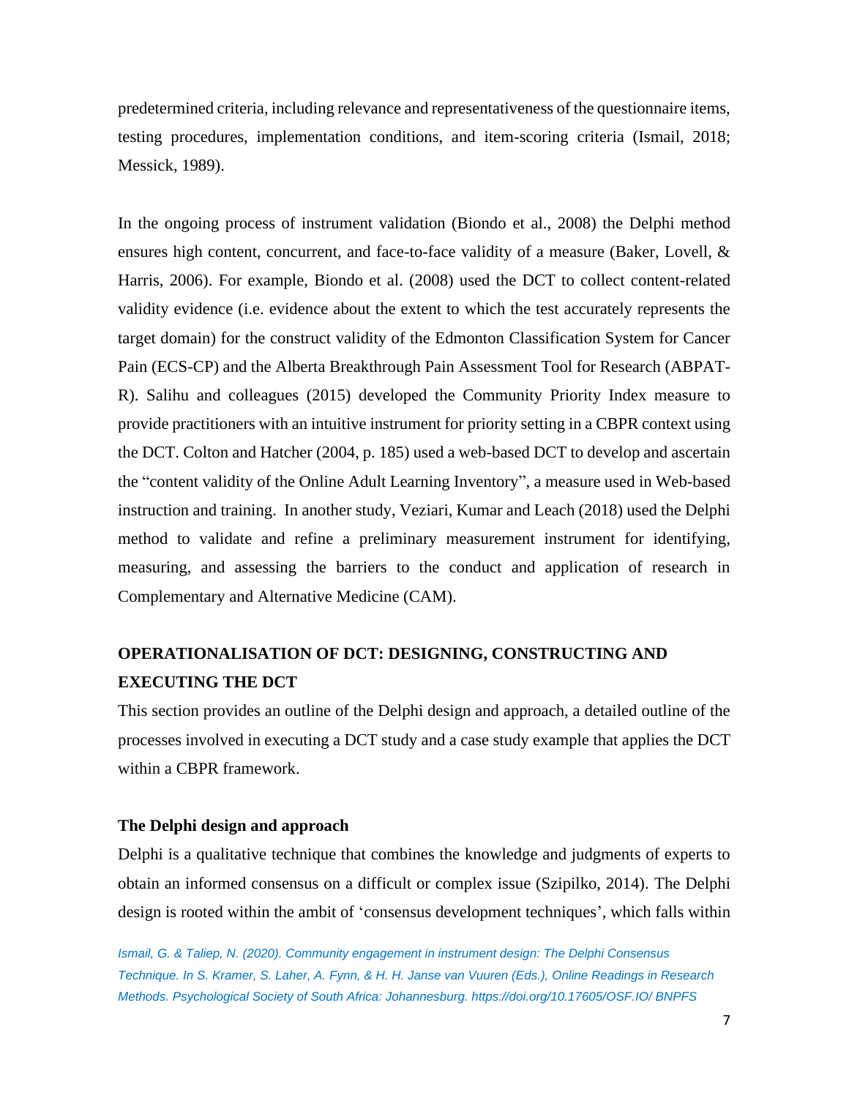predetermined criteria, including relevance and representativeness of the questionnaire items, testing procedures, implementation conditions, and item-scoring criteria (Ismail, 2018; Messick, 1989).

In the ongoing process of instrument validation (Biondo et al., 2008) the Delphi method ensures high content, concurrent, and face-to-face validity of a measure (Baker, Lovell, & Harris, 2006). For example, Biondo et al. (2008) used the DCT to collect content-related validity evidence (i.e. evidence about the extent to which the test accurately represents the target domain) for the construct validity of the Edmonton Classification System for Cancer Pain (ECS-CP) and the Alberta Breakthrough Pain Assessment Tool for Research (ABPAT-R). Salihu and colleagues (2015) developed the Community Priority Index measure to provide practitioners with an intuitive instrument for priority setting in a CBPR context using the DCT. Colton and Hatcher (2004, p. 185) used a web-based DCT to develop and ascertain the "content validity of the Online Adult Learning Inventory", a measure used in Web-based instruction and training. In another study, Veziari, Kumar and Leach (2018) used the Delphi method to validate and refine a preliminary measurement instrument for identifying, measuring, and assessing the barriers to the conduct and application of research in Complementary and Alternative Medicine (CAM).

## **OPERATIONALISATION OF DCT: DESIGNING, CONSTRUCTING AND EXECUTING THE DCT**

This section provides an outline of the Delphi design and approach, a detailed outline of the processes involved in executing a DCT study and a case study example that applies the DCT within a CBPR framework.

## **The Delphi design and approach**

Delphi is a qualitative technique that combines the knowledge and judgments of experts to obtain an informed consensus on a difficult or complex issue (Szipilko, 2014). The Delphi design is rooted within the ambit of 'consensus development techniques', which falls within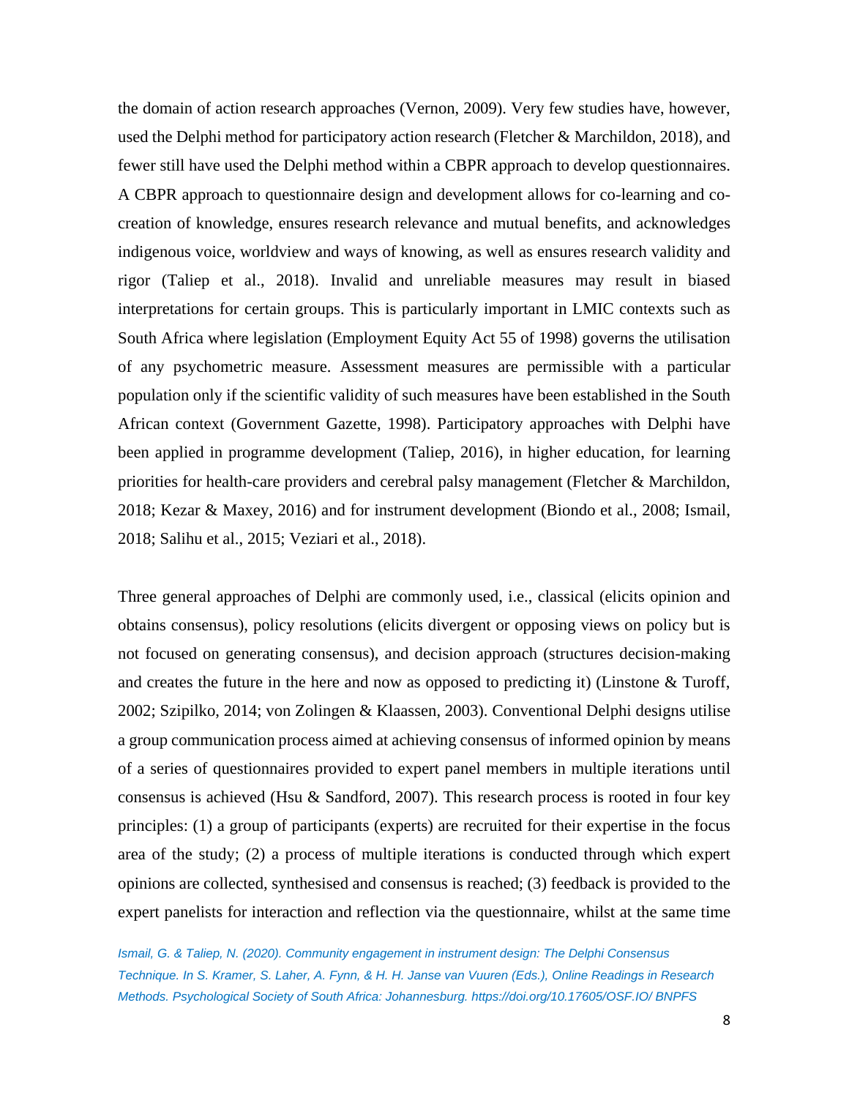the domain of action research approaches (Vernon, 2009). Very few studies have, however, used the Delphi method for participatory action research (Fletcher & Marchildon, 2018), and fewer still have used the Delphi method within a CBPR approach to develop questionnaires. A CBPR approach to questionnaire design and development allows for co-learning and cocreation of knowledge, ensures research relevance and mutual benefits, and acknowledges indigenous voice, worldview and ways of knowing, as well as ensures research validity and rigor (Taliep et al., 2018). Invalid and unreliable measures may result in biased interpretations for certain groups. This is particularly important in LMIC contexts such as South Africa where legislation (Employment Equity Act 55 of 1998) governs the utilisation of any psychometric measure. Assessment measures are permissible with a particular population only if the scientific validity of such measures have been established in the South African context (Government Gazette, 1998). Participatory approaches with Delphi have been applied in programme development (Taliep, 2016), in higher education, for learning priorities for health-care providers and cerebral palsy management (Fletcher & Marchildon, 2018; Kezar & Maxey, 2016) and for instrument development (Biondo et al., 2008; Ismail, 2018; Salihu et al., 2015; Veziari et al., 2018).

Three general approaches of Delphi are commonly used, i.e., classical (elicits opinion and obtains consensus), policy resolutions (elicits divergent or opposing views on policy but is not focused on generating consensus), and decision approach (structures decision-making and creates the future in the here and now as opposed to predicting it) (Linstone & Turoff, 2002; Szipilko, 2014; von Zolingen & Klaassen, 2003). Conventional Delphi designs utilise a group communication process aimed at achieving consensus of informed opinion by means of a series of questionnaires provided to expert panel members in multiple iterations until consensus is achieved (Hsu  $\&$  Sandford, 2007). This research process is rooted in four key principles: (1) a group of participants (experts) are recruited for their expertise in the focus area of the study; (2) a process of multiple iterations is conducted through which expert opinions are collected, synthesised and consensus is reached; (3) feedback is provided to the expert panelists for interaction and reflection via the questionnaire, whilst at the same time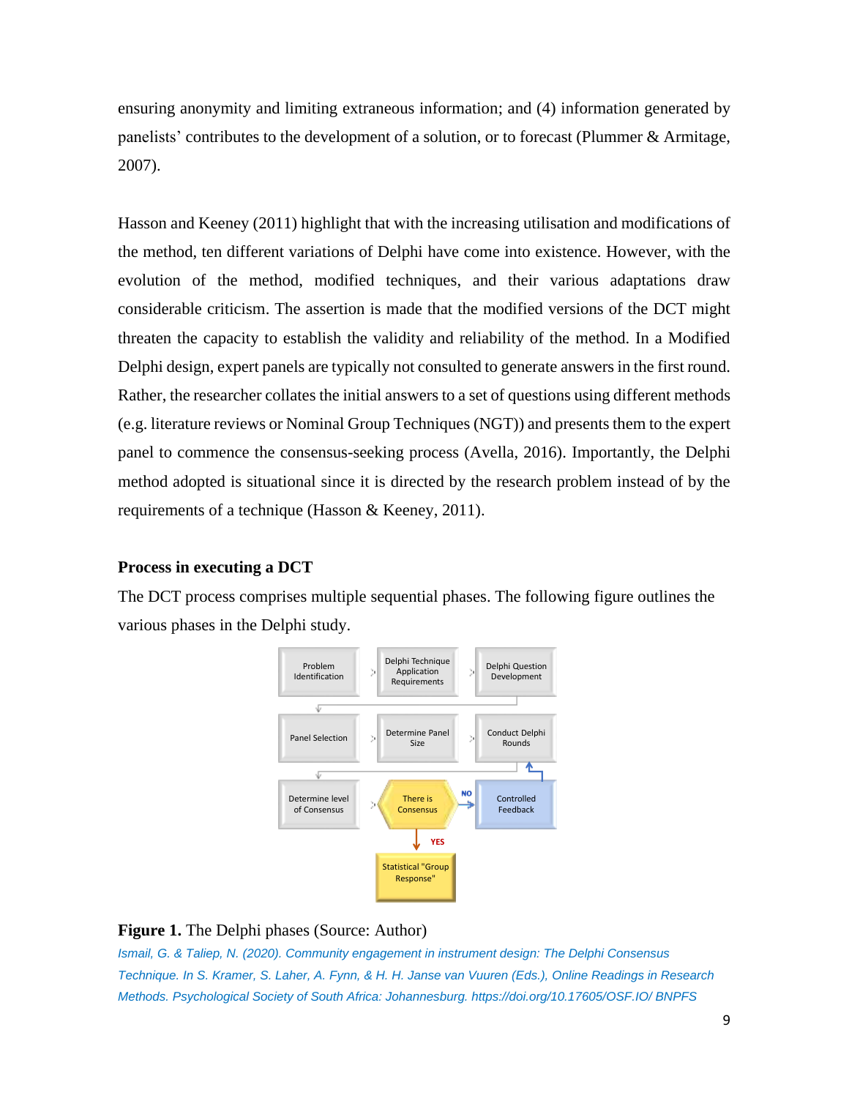ensuring anonymity and limiting extraneous information; and (4) information generated by panelists' contributes to the development of a solution, or to forecast (Plummer & Armitage, 2007).

Hasson and Keeney (2011) highlight that with the increasing utilisation and modifications of the method, ten different variations of Delphi have come into existence. However, with the evolution of the method, modified techniques, and their various adaptations draw considerable criticism. The assertion is made that the modified versions of the DCT might threaten the capacity to establish the validity and reliability of the method. In a Modified Delphi design, expert panels are typically not consulted to generate answers in the first round. Rather, the researcher collates the initial answers to a set of questions using different methods (e.g. literature reviews or Nominal Group Techniques (NGT)) and presents them to the expert panel to commence the consensus-seeking process (Avella, 2016). Importantly, the Delphi method adopted is situational since it is directed by the research problem instead of by the requirements of a technique (Hasson & Keeney, 2011).

## **Process in executing a DCT**

The DCT process comprises multiple sequential phases. The following figure outlines the various phases in the Delphi study.



## **Figure 1.** The Delphi phases (Source: Author)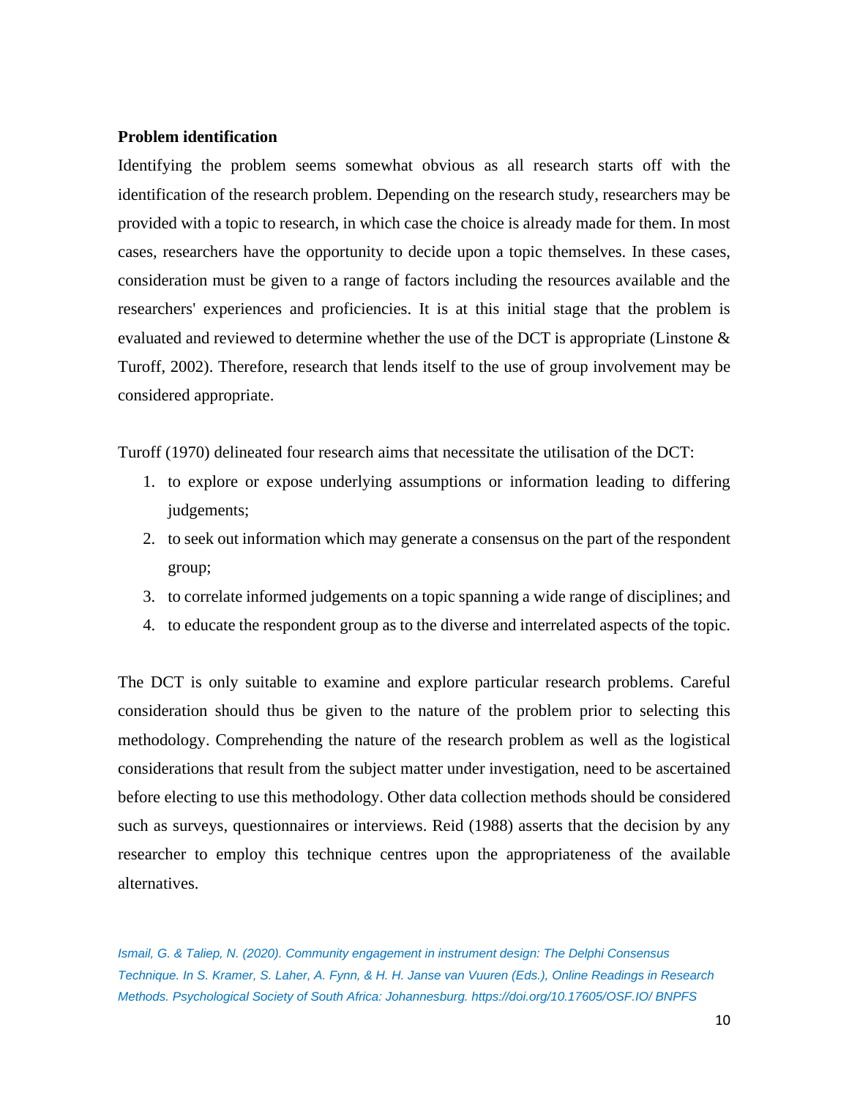## **Problem identification**

Identifying the problem seems somewhat obvious as all research starts off with the identification of the research problem. Depending on the research study, researchers may be provided with a topic to research, in which case the choice is already made for them. In most cases, researchers have the opportunity to decide upon a topic themselves. In these cases, consideration must be given to a range of factors including the resources available and the researchers' experiences and proficiencies. It is at this initial stage that the problem is evaluated and reviewed to determine whether the use of the DCT is appropriate (Linstone & Turoff, 2002). Therefore, research that lends itself to the use of group involvement may be considered appropriate.

Turoff (1970) delineated four research aims that necessitate the utilisation of the DCT:

- 1. to explore or expose underlying assumptions or information leading to differing judgements;
- 2. to seek out information which may generate a consensus on the part of the respondent group;
- 3. to correlate informed judgements on a topic spanning a wide range of disciplines; and
- 4. to educate the respondent group as to the diverse and interrelated aspects of the topic.

The DCT is only suitable to examine and explore particular research problems. Careful consideration should thus be given to the nature of the problem prior to selecting this methodology. Comprehending the nature of the research problem as well as the logistical considerations that result from the subject matter under investigation, need to be ascertained before electing to use this methodology. Other data collection methods should be considered such as surveys, questionnaires or interviews. Reid (1988) asserts that the decision by any researcher to employ this technique centres upon the appropriateness of the available alternatives.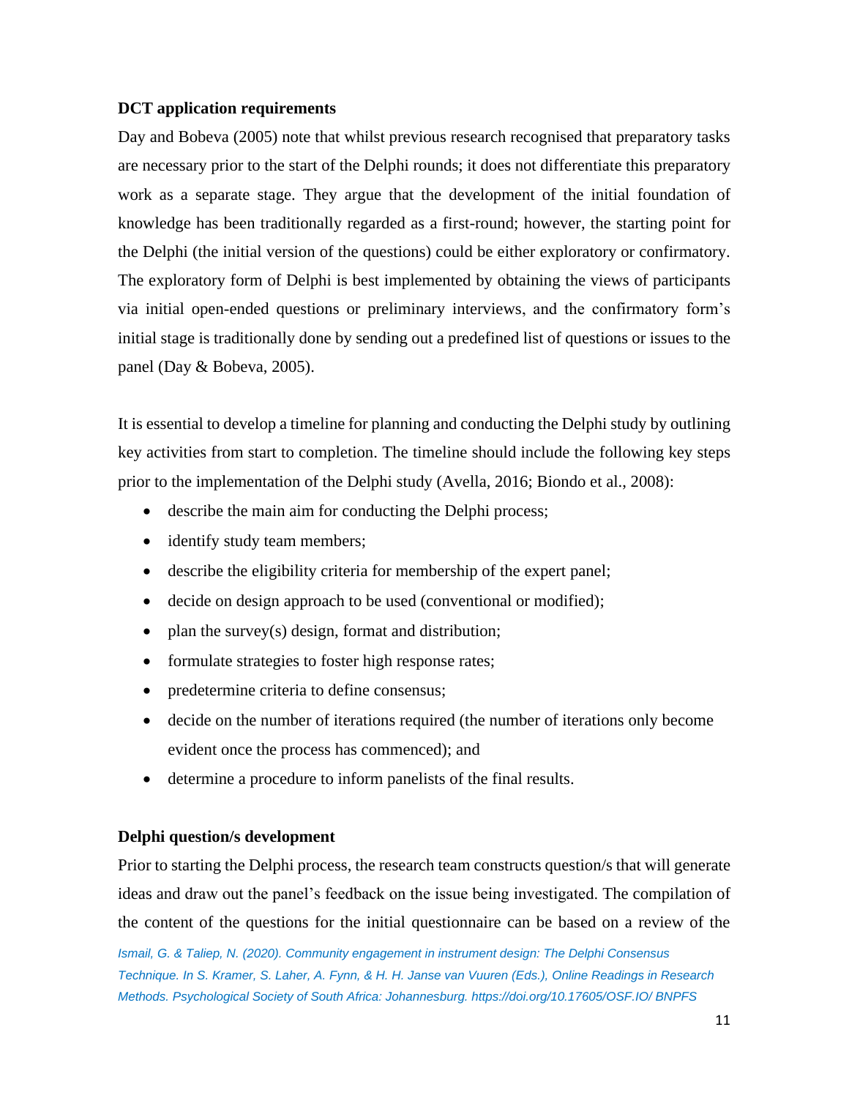## **DCT application requirements**

Day and Bobeva (2005) note that whilst previous research recognised that preparatory tasks are necessary prior to the start of the Delphi rounds; it does not differentiate this preparatory work as a separate stage. They argue that the development of the initial foundation of knowledge has been traditionally regarded as a first-round; however, the starting point for the Delphi (the initial version of the questions) could be either exploratory or confirmatory. The exploratory form of Delphi is best implemented by obtaining the views of participants via initial open-ended questions or preliminary interviews, and the confirmatory form's initial stage is traditionally done by sending out a predefined list of questions or issues to the panel (Day & Bobeva, 2005).

It is essential to develop a timeline for planning and conducting the Delphi study by outlining key activities from start to completion. The timeline should include the following key steps prior to the implementation of the Delphi study (Avella, 2016; Biondo et al., 2008):

- describe the main aim for conducting the Delphi process;
- identify study team members;
- describe the eligibility criteria for membership of the expert panel;
- decide on design approach to be used (conventional or modified);
- plan the survey(s) design, format and distribution;
- formulate strategies to foster high response rates;
- predetermine criteria to define consensus;
- decide on the number of iterations required (the number of iterations only become evident once the process has commenced); and
- determine a procedure to inform panelists of the final results.

## **Delphi question/s development**

Prior to starting the Delphi process, the research team constructs question/s that will generate ideas and draw out the panel's feedback on the issue being investigated. The compilation of the content of the questions for the initial questionnaire can be based on a review of the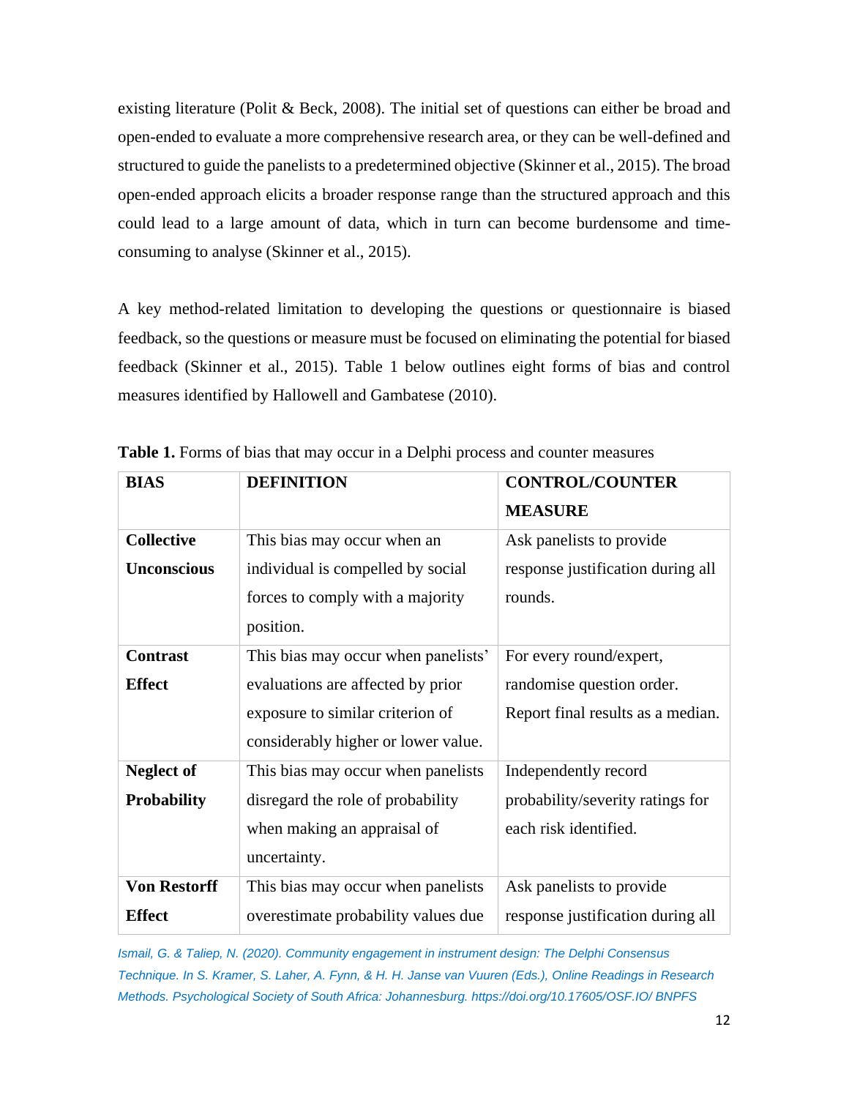existing literature (Polit & Beck, 2008). The initial set of questions can either be broad and open-ended to evaluate a more comprehensive research area, or they can be well-defined and structured to guide the panelists to a predetermined objective (Skinner et al., 2015). The broad open-ended approach elicits a broader response range than the structured approach and this could lead to a large amount of data, which in turn can become burdensome and timeconsuming to analyse (Skinner et al., 2015).

A key method-related limitation to developing the questions or questionnaire is biased feedback, so the questions or measure must be focused on eliminating the potential for biased feedback (Skinner et al., 2015). Table 1 below outlines eight forms of bias and control measures identified by Hallowell and Gambatese (2010).

| <b>BIAS</b>         | <b>DEFINITION</b>                   | <b>CONTROL/COUNTER</b>            |
|---------------------|-------------------------------------|-----------------------------------|
|                     |                                     | <b>MEASURE</b>                    |
| <b>Collective</b>   | This bias may occur when an         | Ask panelists to provide          |
| <b>Unconscious</b>  | individual is compelled by social   | response justification during all |
|                     | forces to comply with a majority    | rounds.                           |
|                     | position.                           |                                   |
| <b>Contrast</b>     | This bias may occur when panelists' | For every round/expert,           |
| <b>Effect</b>       | evaluations are affected by prior   | randomise question order.         |
|                     | exposure to similar criterion of    | Report final results as a median. |
|                     | considerably higher or lower value. |                                   |
| <b>Neglect of</b>   | This bias may occur when panelists  | Independently record              |
| <b>Probability</b>  | disregard the role of probability   | probability/severity ratings for  |
|                     | when making an appraisal of         | each risk identified.             |
|                     | uncertainty.                        |                                   |
| <b>Von Restorff</b> | This bias may occur when panelists  | Ask panelists to provide          |
| <b>Effect</b>       | overestimate probability values due | response justification during all |

**Table 1.** Forms of bias that may occur in a Delphi process and counter measures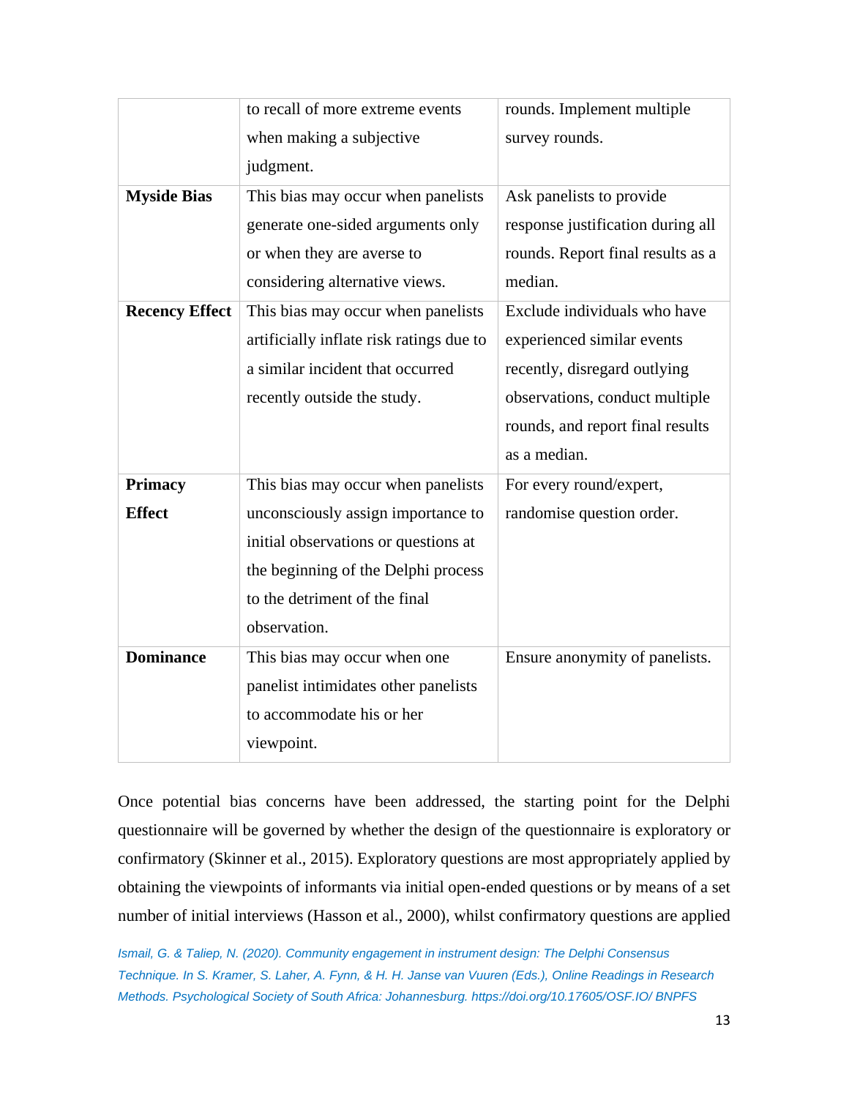|                       | to recall of more extreme events         | rounds. Implement multiple        |
|-----------------------|------------------------------------------|-----------------------------------|
|                       | when making a subjective                 | survey rounds.                    |
|                       | judgment.                                |                                   |
| <b>Myside Bias</b>    | This bias may occur when panelists       | Ask panelists to provide          |
|                       | generate one-sided arguments only        | response justification during all |
|                       | or when they are averse to               | rounds. Report final results as a |
|                       | considering alternative views.           | median.                           |
| <b>Recency Effect</b> | This bias may occur when panelists       | Exclude individuals who have      |
|                       | artificially inflate risk ratings due to | experienced similar events        |
|                       | a similar incident that occurred         | recently, disregard outlying      |
|                       | recently outside the study.              | observations, conduct multiple    |
|                       |                                          | rounds, and report final results  |
|                       |                                          | as a median.                      |
| <b>Primacy</b>        | This bias may occur when panelists       | For every round/expert,           |
| <b>Effect</b>         | unconsciously assign importance to       | randomise question order.         |
|                       | initial observations or questions at     |                                   |
|                       | the beginning of the Delphi process      |                                   |
|                       | to the detriment of the final            |                                   |
|                       | observation.                             |                                   |
| <b>Dominance</b>      | This bias may occur when one             | Ensure anonymity of panelists.    |
|                       | panelist intimidates other panelists     |                                   |
|                       | to accommodate his or her                |                                   |
|                       | viewpoint.                               |                                   |
|                       |                                          |                                   |

Once potential bias concerns have been addressed, the starting point for the Delphi questionnaire will be governed by whether the design of the questionnaire is exploratory or confirmatory (Skinner et al., 2015). Exploratory questions are most appropriately applied by obtaining the viewpoints of informants via initial open-ended questions or by means of a set number of initial interviews (Hasson et al., 2000), whilst confirmatory questions are applied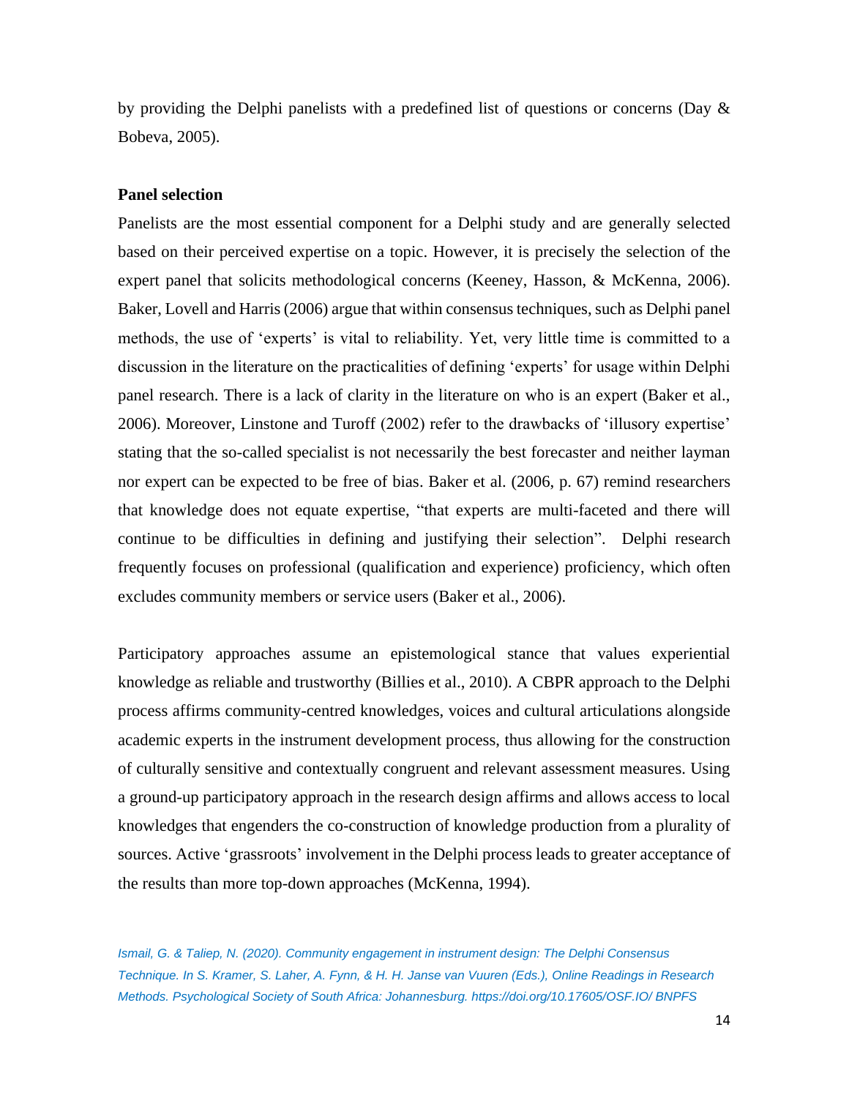by providing the Delphi panelists with a predefined list of questions or concerns (Day  $\&$ Bobeva, 2005).

## **Panel selection**

Panelists are the most essential component for a Delphi study and are generally selected based on their perceived expertise on a topic. However, it is precisely the selection of the expert panel that solicits methodological concerns (Keeney, Hasson, & McKenna, 2006). Baker, Lovell and Harris (2006) argue that within consensus techniques, such as Delphi panel methods, the use of 'experts' is vital to reliability. Yet, very little time is committed to a discussion in the literature on the practicalities of defining 'experts' for usage within Delphi panel research. There is a lack of clarity in the literature on who is an expert (Baker et al., 2006). Moreover, Linstone and Turoff (2002) refer to the drawbacks of 'illusory expertise' stating that the so-called specialist is not necessarily the best forecaster and neither layman nor expert can be expected to be free of bias. Baker et al. (2006, p. 67) remind researchers that knowledge does not equate expertise, "that experts are multi-faceted and there will continue to be difficulties in defining and justifying their selection". Delphi research frequently focuses on professional (qualification and experience) proficiency, which often excludes community members or service users (Baker et al., 2006).

Participatory approaches assume an epistemological stance that values experiential knowledge as reliable and trustworthy (Billies et al., 2010). A CBPR approach to the Delphi process affirms community-centred knowledges, voices and cultural articulations alongside academic experts in the instrument development process, thus allowing for the construction of culturally sensitive and contextually congruent and relevant assessment measures. Using a ground-up participatory approach in the research design affirms and allows access to local knowledges that engenders the co-construction of knowledge production from a plurality of sources. Active 'grassroots' involvement in the Delphi process leads to greater acceptance of the results than more top-down approaches (McKenna, 1994).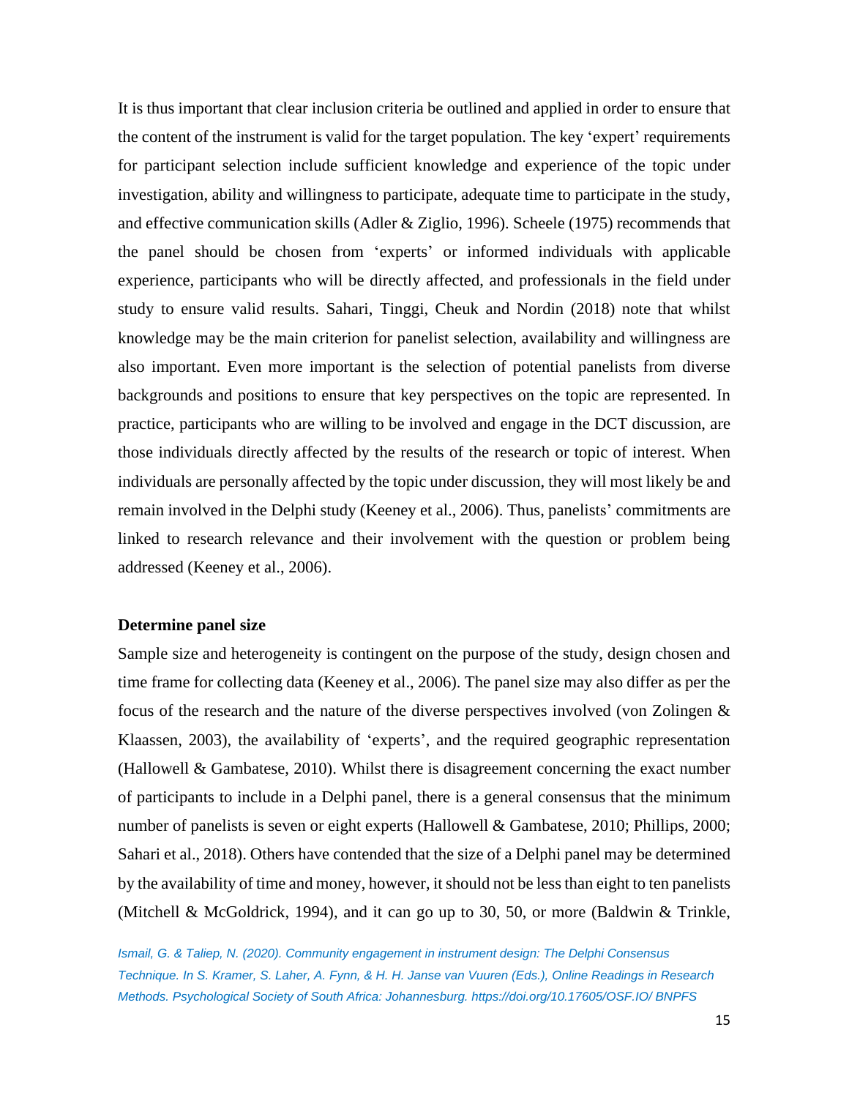It is thus important that clear inclusion criteria be outlined and applied in order to ensure that the content of the instrument is valid for the target population. The key 'expert' requirements for participant selection include sufficient knowledge and experience of the topic under investigation, ability and willingness to participate, adequate time to participate in the study, and effective communication skills (Adler & Ziglio, 1996). Scheele (1975) recommends that the panel should be chosen from 'experts' or informed individuals with applicable experience, participants who will be directly affected, and professionals in the field under study to ensure valid results. Sahari, Tinggi, Cheuk and Nordin (2018) note that whilst knowledge may be the main criterion for panelist selection, availability and willingness are also important. Even more important is the selection of potential panelists from diverse backgrounds and positions to ensure that key perspectives on the topic are represented. In practice, participants who are willing to be involved and engage in the DCT discussion, are those individuals directly affected by the results of the research or topic of interest. When individuals are personally affected by the topic under discussion, they will most likely be and remain involved in the Delphi study (Keeney et al., 2006). Thus, panelists' commitments are linked to research relevance and their involvement with the question or problem being addressed (Keeney et al., 2006).

## **Determine panel size**

Sample size and heterogeneity is contingent on the purpose of the study, design chosen and time frame for collecting data (Keeney et al., 2006). The panel size may also differ as per the focus of the research and the nature of the diverse perspectives involved (von Zolingen & Klaassen, 2003), the availability of 'experts', and the required geographic representation (Hallowell & Gambatese, 2010). Whilst there is disagreement concerning the exact number of participants to include in a Delphi panel, there is a general consensus that the minimum number of panelists is seven or eight experts (Hallowell & Gambatese, 2010; Phillips, 2000; Sahari et al., 2018). Others have contended that the size of a Delphi panel may be determined by the availability of time and money, however, it should not be less than eight to ten panelists (Mitchell & McGoldrick, 1994), and it can go up to 30, 50, or more (Baldwin & Trinkle,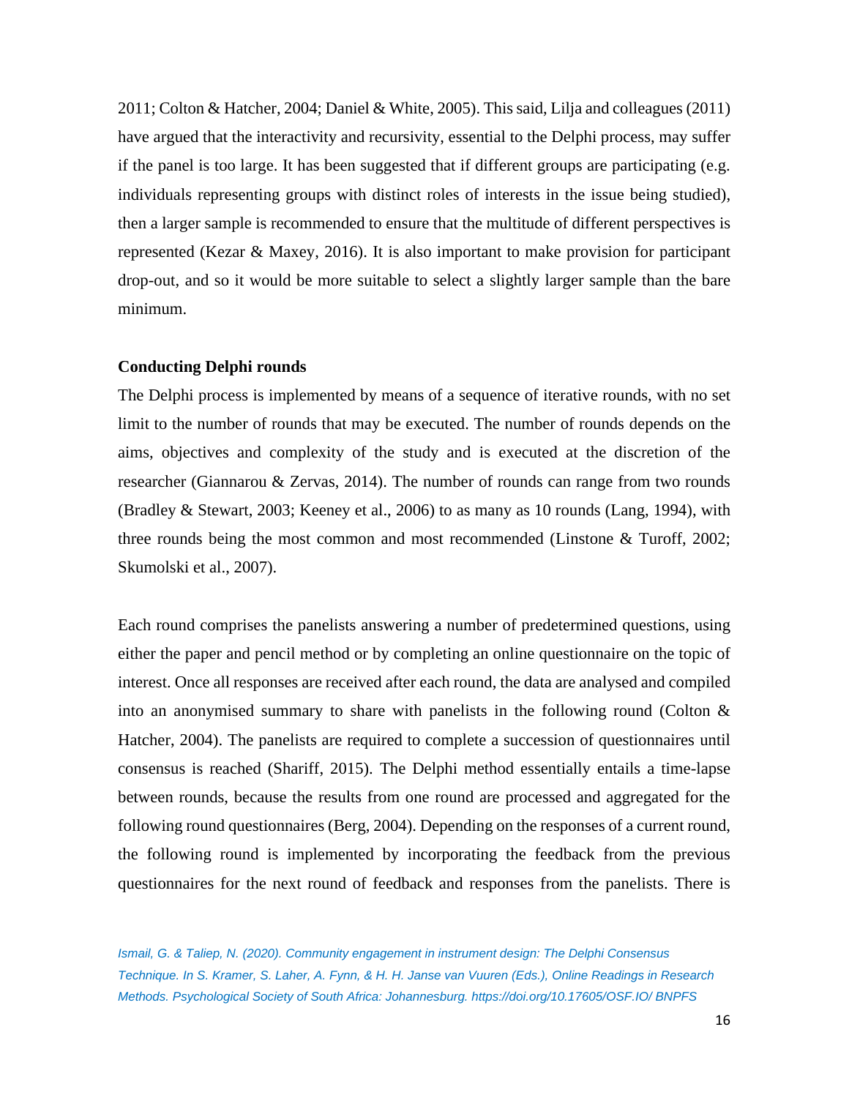2011; Colton & Hatcher, 2004; Daniel & White, 2005). This said, Lilja and colleagues (2011) have argued that the interactivity and recursivity, essential to the Delphi process, may suffer if the panel is too large. It has been suggested that if different groups are participating (e.g. individuals representing groups with distinct roles of interests in the issue being studied), then a larger sample is recommended to ensure that the multitude of different perspectives is represented (Kezar & Maxey, 2016). It is also important to make provision for participant drop-out, and so it would be more suitable to select a slightly larger sample than the bare minimum.

## **Conducting Delphi rounds**

The Delphi process is implemented by means of a sequence of iterative rounds, with no set limit to the number of rounds that may be executed. The number of rounds depends on the aims, objectives and complexity of the study and is executed at the discretion of the researcher (Giannarou & Zervas, 2014). The number of rounds can range from two rounds (Bradley & Stewart, 2003; Keeney et al., 2006) to as many as 10 rounds (Lang, 1994), with three rounds being the most common and most recommended (Linstone & Turoff, 2002; Skumolski et al., 2007).

Each round comprises the panelists answering a number of predetermined questions, using either the paper and pencil method or by completing an online questionnaire on the topic of interest. Once all responses are received after each round, the data are analysed and compiled into an anonymised summary to share with panelists in the following round (Colton & Hatcher, 2004). The panelists are required to complete a succession of questionnaires until consensus is reached (Shariff, 2015). The Delphi method essentially entails a time-lapse between rounds, because the results from one round are processed and aggregated for the following round questionnaires (Berg, 2004). Depending on the responses of a current round, the following round is implemented by incorporating the feedback from the previous questionnaires for the next round of feedback and responses from the panelists. There is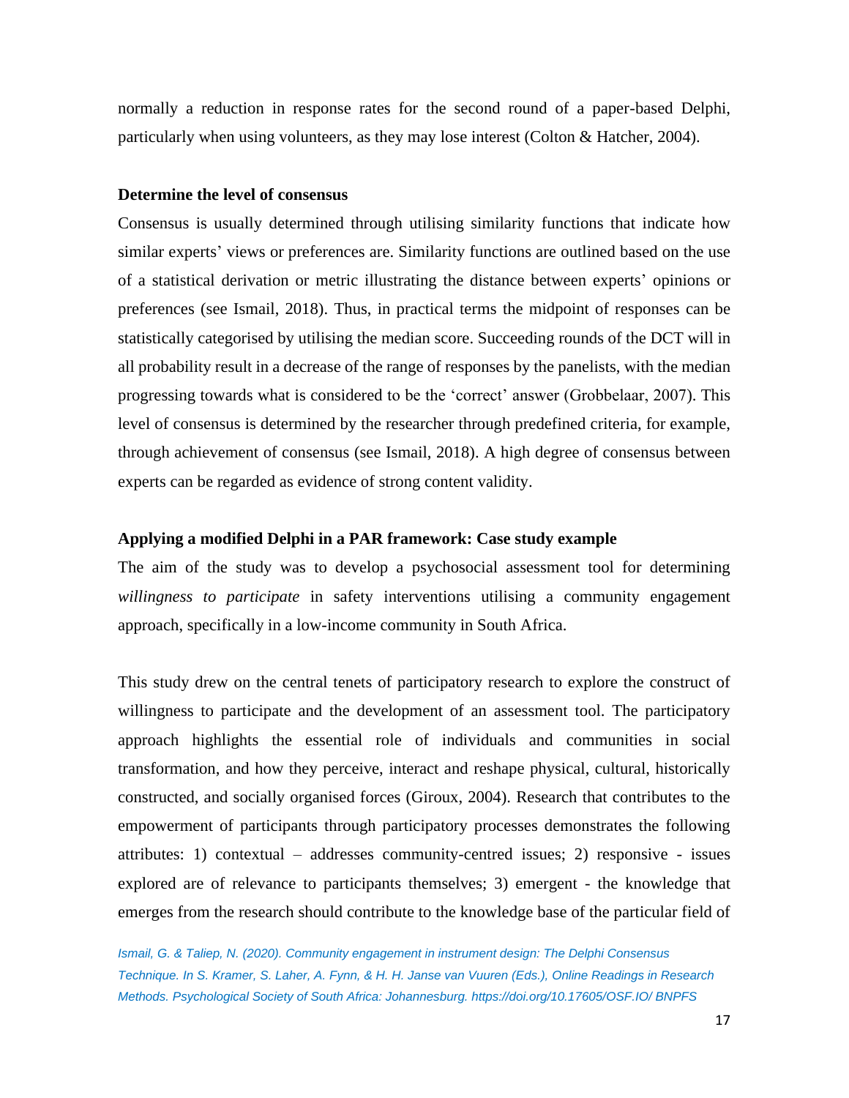normally a reduction in response rates for the second round of a paper-based Delphi, particularly when using volunteers, as they may lose interest (Colton & Hatcher, 2004).

## **Determine the level of consensus**

Consensus is usually determined through utilising similarity functions that indicate how similar experts' views or preferences are. Similarity functions are outlined based on the use of a statistical derivation or metric illustrating the distance between experts' opinions or preferences (see Ismail, 2018). Thus, in practical terms the midpoint of responses can be statistically categorised by utilising the median score. Succeeding rounds of the DCT will in all probability result in a decrease of the range of responses by the panelists, with the median progressing towards what is considered to be the 'correct' answer (Grobbelaar, 2007). This level of consensus is determined by the researcher through predefined criteria, for example, through achievement of consensus (see Ismail, 2018). A high degree of consensus between experts can be regarded as evidence of strong content validity.

#### **Applying a modified Delphi in a PAR framework: Case study example**

The aim of the study was to develop a psychosocial assessment tool for determining *willingness to participate* in safety interventions utilising a community engagement approach, specifically in a low-income community in South Africa.

This study drew on the central tenets of participatory research to explore the construct of willingness to participate and the development of an assessment tool. The participatory approach highlights the essential role of individuals and communities in social transformation, and how they perceive, interact and reshape physical, cultural, historically constructed, and socially organised forces (Giroux, 2004). Research that contributes to the empowerment of participants through participatory processes demonstrates the following attributes: 1) contextual – addresses community-centred issues; 2) responsive - issues explored are of relevance to participants themselves; 3) emergent - the knowledge that emerges from the research should contribute to the knowledge base of the particular field of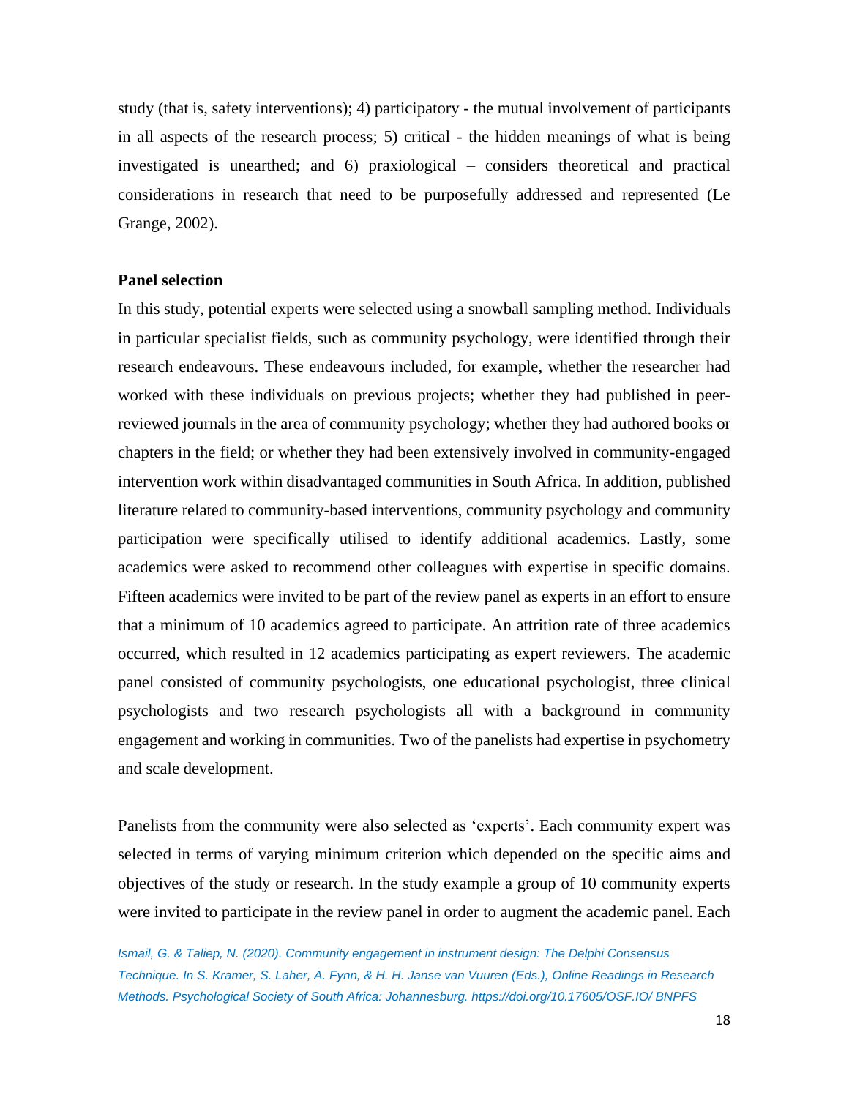study (that is, safety interventions); 4) participatory - the mutual involvement of participants in all aspects of the research process; 5) critical - the hidden meanings of what is being investigated is unearthed; and 6) praxiological – considers theoretical and practical considerations in research that need to be purposefully addressed and represented (Le Grange, 2002).

## **Panel selection**

In this study, potential experts were selected using a snowball sampling method. Individuals in particular specialist fields, such as community psychology, were identified through their research endeavours. These endeavours included, for example, whether the researcher had worked with these individuals on previous projects; whether they had published in peerreviewed journals in the area of community psychology; whether they had authored books or chapters in the field; or whether they had been extensively involved in community-engaged intervention work within disadvantaged communities in South Africa. In addition, published literature related to community-based interventions, community psychology and community participation were specifically utilised to identify additional academics. Lastly, some academics were asked to recommend other colleagues with expertise in specific domains. Fifteen academics were invited to be part of the review panel as experts in an effort to ensure that a minimum of 10 academics agreed to participate. An attrition rate of three academics occurred, which resulted in 12 academics participating as expert reviewers. The academic panel consisted of community psychologists, one educational psychologist, three clinical psychologists and two research psychologists all with a background in community engagement and working in communities. Two of the panelists had expertise in psychometry and scale development.

Panelists from the community were also selected as 'experts'. Each community expert was selected in terms of varying minimum criterion which depended on the specific aims and objectives of the study or research. In the study example a group of 10 community experts were invited to participate in the review panel in order to augment the academic panel. Each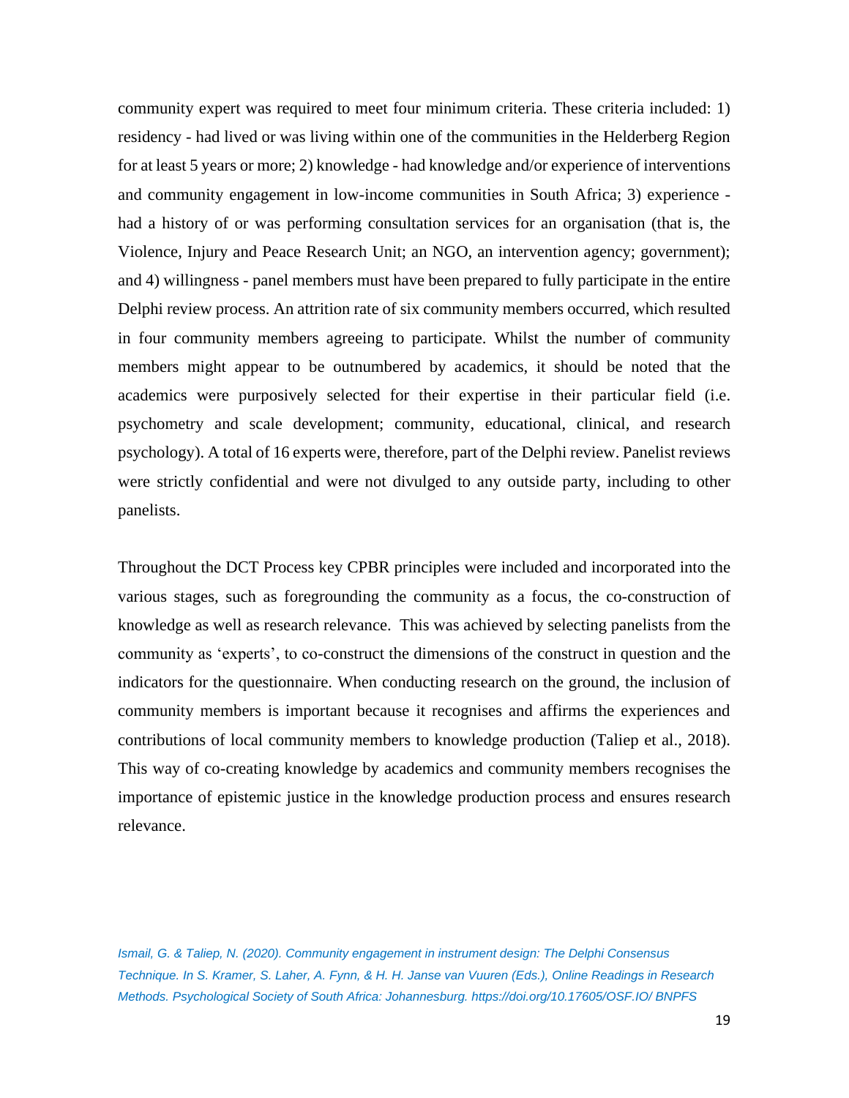community expert was required to meet four minimum criteria. These criteria included: 1) residency - had lived or was living within one of the communities in the Helderberg Region for at least 5 years or more; 2) knowledge - had knowledge and/or experience of interventions and community engagement in low-income communities in South Africa; 3) experience had a history of or was performing consultation services for an organisation (that is, the Violence, Injury and Peace Research Unit; an NGO, an intervention agency; government); and 4) willingness - panel members must have been prepared to fully participate in the entire Delphi review process. An attrition rate of six community members occurred, which resulted in four community members agreeing to participate. Whilst the number of community members might appear to be outnumbered by academics, it should be noted that the academics were purposively selected for their expertise in their particular field (i.e. psychometry and scale development; community, educational, clinical, and research psychology). A total of 16 experts were, therefore, part of the Delphi review. Panelist reviews were strictly confidential and were not divulged to any outside party, including to other panelists.

Throughout the DCT Process key CPBR principles were included and incorporated into the various stages, such as foregrounding the community as a focus, the co-construction of knowledge as well as research relevance. This was achieved by selecting panelists from the community as 'experts', to co-construct the dimensions of the construct in question and the indicators for the questionnaire. When conducting research on the ground, the inclusion of community members is important because it recognises and affirms the experiences and contributions of local community members to knowledge production (Taliep et al., 2018). This way of co-creating knowledge by academics and community members recognises the importance of epistemic justice in the knowledge production process and ensures research relevance.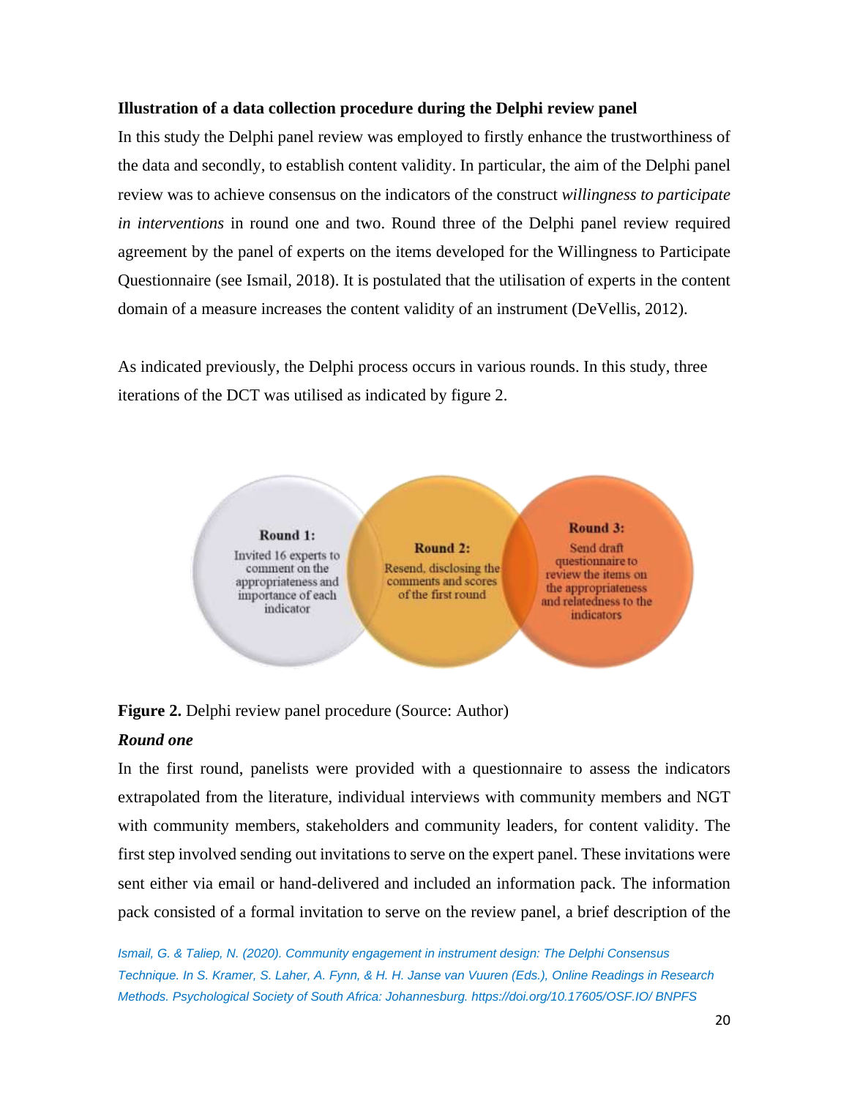## **Illustration of a data collection procedure during the Delphi review panel**

In this study the Delphi panel review was employed to firstly enhance the trustworthiness of the data and secondly, to establish content validity. In particular, the aim of the Delphi panel review was to achieve consensus on the indicators of the construct *willingness to participate in interventions* in round one and two. Round three of the Delphi panel review required agreement by the panel of experts on the items developed for the Willingness to Participate Questionnaire (see Ismail, 2018). It is postulated that the utilisation of experts in the content domain of a measure increases the content validity of an instrument (DeVellis, 2012).

As indicated previously, the Delphi process occurs in various rounds. In this study, three iterations of the DCT was utilised as indicated by figure 2.



**Figure 2.** Delphi review panel procedure (Source: Author)

## *Round one*

In the first round, panelists were provided with a questionnaire to assess the indicators extrapolated from the literature, individual interviews with community members and NGT with community members, stakeholders and community leaders, for content validity. The first step involved sending out invitations to serve on the expert panel. These invitations were sent either via email or hand-delivered and included an information pack. The information pack consisted of a formal invitation to serve on the review panel, a brief description of the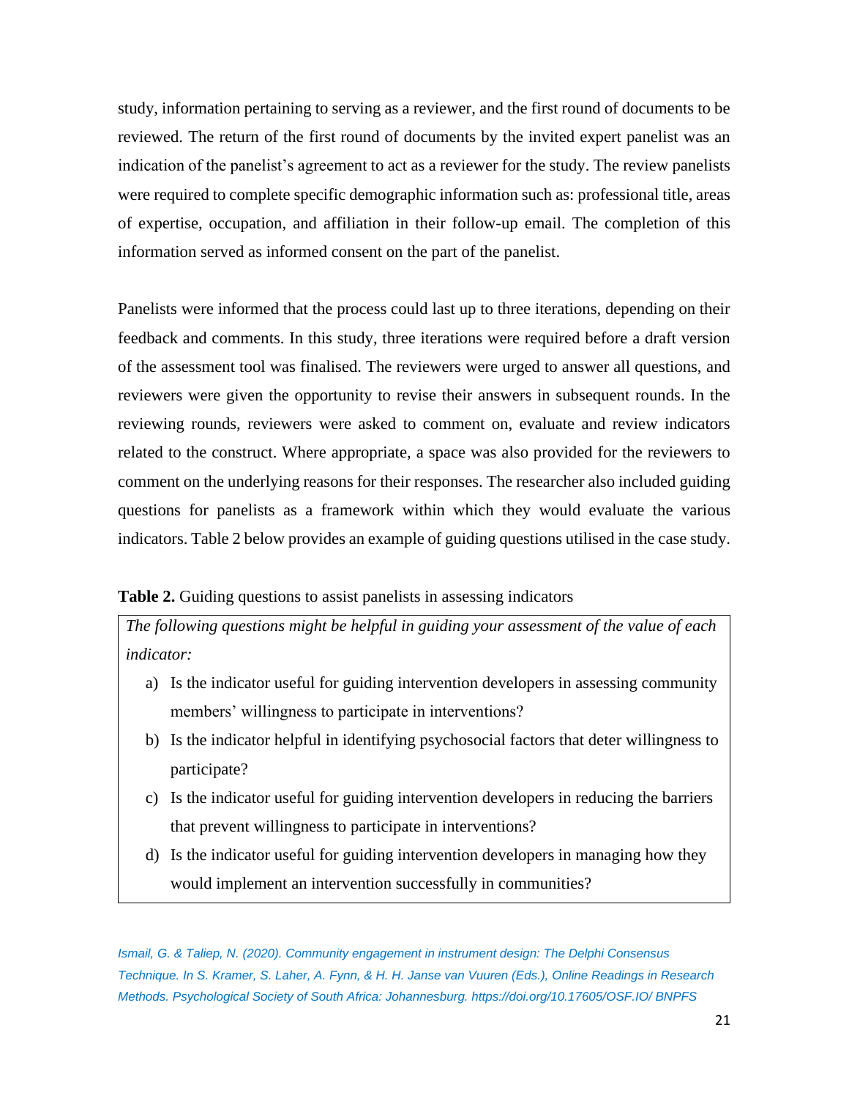study, information pertaining to serving as a reviewer, and the first round of documents to be reviewed. The return of the first round of documents by the invited expert panelist was an indication of the panelist's agreement to act as a reviewer for the study. The review panelists were required to complete specific demographic information such as: professional title, areas of expertise, occupation, and affiliation in their follow-up email. The completion of this information served as informed consent on the part of the panelist.

Panelists were informed that the process could last up to three iterations, depending on their feedback and comments. In this study, three iterations were required before a draft version of the assessment tool was finalised. The reviewers were urged to answer all questions, and reviewers were given the opportunity to revise their answers in subsequent rounds. In the reviewing rounds, reviewers were asked to comment on, evaluate and review indicators related to the construct. Where appropriate, a space was also provided for the reviewers to comment on the underlying reasons for their responses. The researcher also included guiding questions for panelists as a framework within which they would evaluate the various indicators. Table 2 below provides an example of guiding questions utilised in the case study.

## **Table 2.** Guiding questions to assist panelists in assessing indicators

*The following questions might be helpful in guiding your assessment of the value of each indicator:*

- a) Is the indicator useful for guiding intervention developers in assessing community members' willingness to participate in interventions?
- b) Is the indicator helpful in identifying psychosocial factors that deter willingness to participate?
- c) Is the indicator useful for guiding intervention developers in reducing the barriers that prevent willingness to participate in interventions?
- d) Is the indicator useful for guiding intervention developers in managing how they would implement an intervention successfully in communities?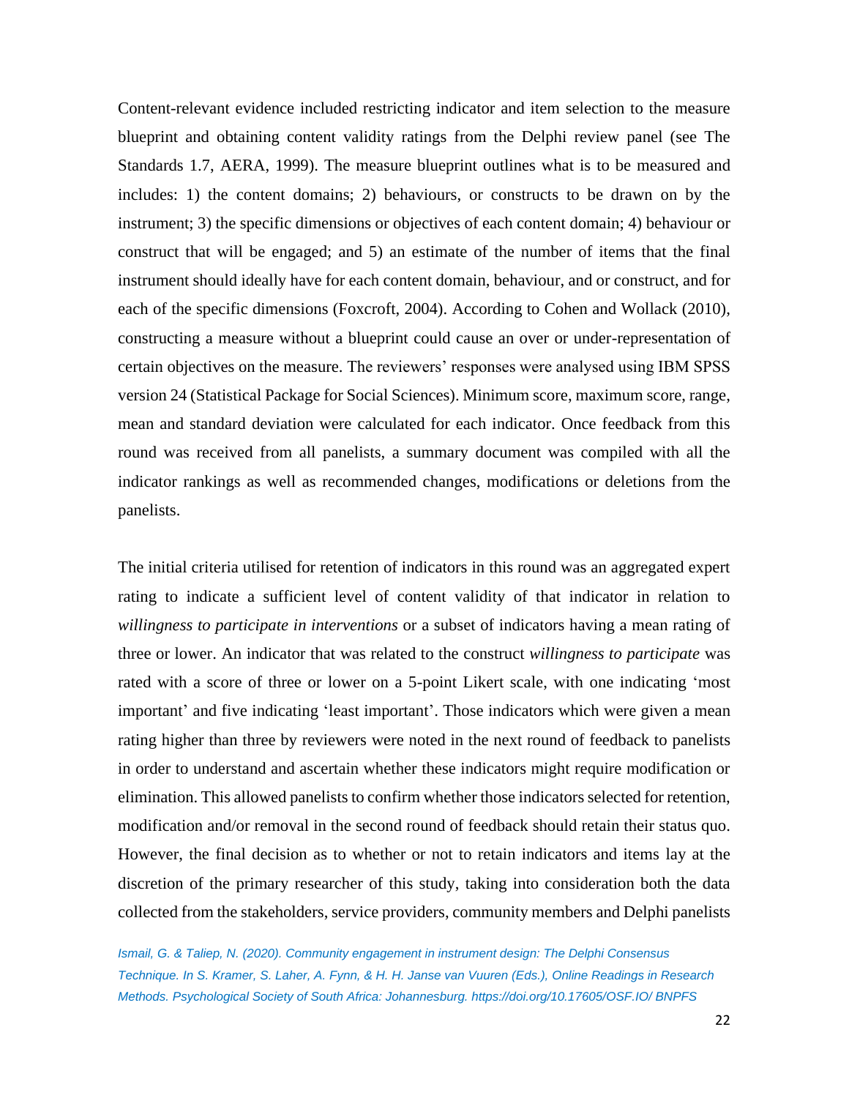Content-relevant evidence included restricting indicator and item selection to the measure blueprint and obtaining content validity ratings from the Delphi review panel (see The Standards 1.7, AERA, 1999). The measure blueprint outlines what is to be measured and includes: 1) the content domains; 2) behaviours, or constructs to be drawn on by the instrument; 3) the specific dimensions or objectives of each content domain; 4) behaviour or construct that will be engaged; and 5) an estimate of the number of items that the final instrument should ideally have for each content domain, behaviour, and or construct, and for each of the specific dimensions (Foxcroft, 2004). According to Cohen and Wollack (2010), constructing a measure without a blueprint could cause an over or under-representation of certain objectives on the measure. The reviewers' responses were analysed using IBM SPSS version 24 (Statistical Package for Social Sciences). Minimum score, maximum score, range, mean and standard deviation were calculated for each indicator. Once feedback from this round was received from all panelists, a summary document was compiled with all the indicator rankings as well as recommended changes, modifications or deletions from the panelists.

The initial criteria utilised for retention of indicators in this round was an aggregated expert rating to indicate a sufficient level of content validity of that indicator in relation to *willingness to participate in interventions* or a subset of indicators having a mean rating of three or lower. An indicator that was related to the construct *willingness to participate* was rated with a score of three or lower on a 5-point Likert scale, with one indicating 'most important' and five indicating 'least important'. Those indicators which were given a mean rating higher than three by reviewers were noted in the next round of feedback to panelists in order to understand and ascertain whether these indicators might require modification or elimination. This allowed panelists to confirm whether those indicators selected for retention, modification and/or removal in the second round of feedback should retain their status quo. However, the final decision as to whether or not to retain indicators and items lay at the discretion of the primary researcher of this study, taking into consideration both the data collected from the stakeholders, service providers, community members and Delphi panelists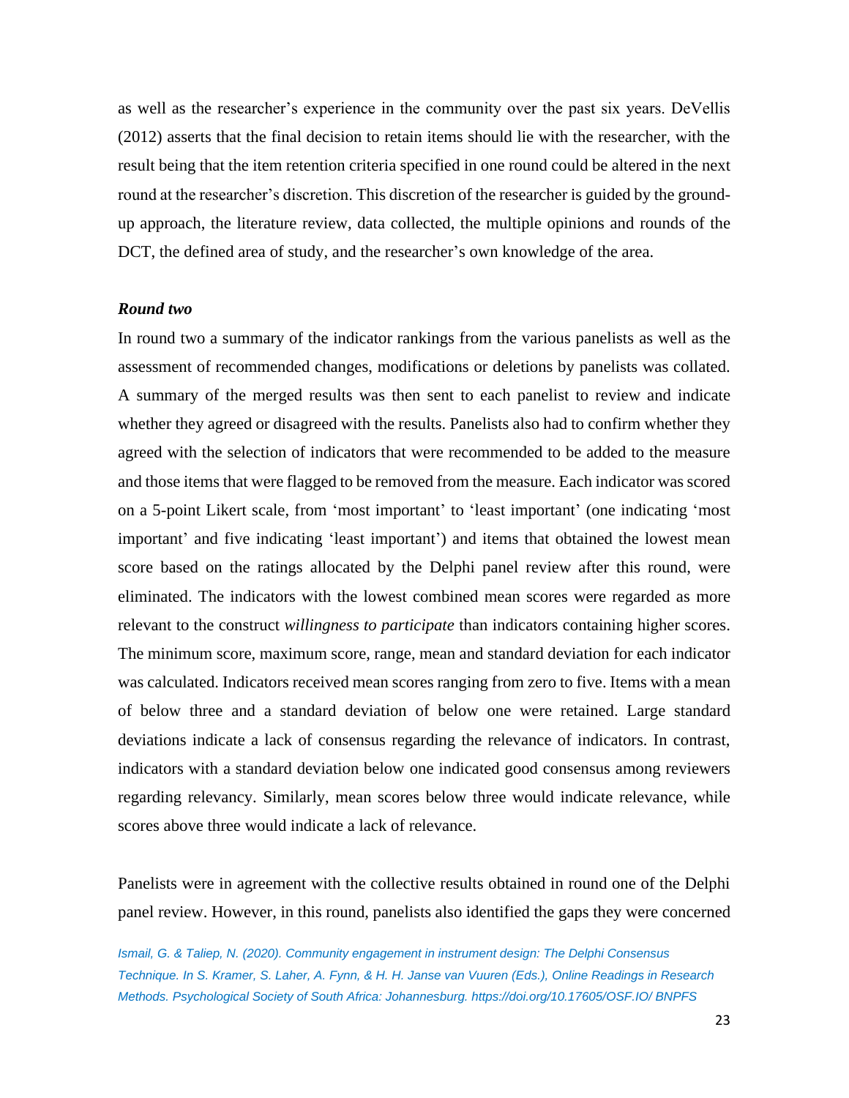as well as the researcher's experience in the community over the past six years. DeVellis (2012) asserts that the final decision to retain items should lie with the researcher, with the result being that the item retention criteria specified in one round could be altered in the next round at the researcher's discretion. This discretion of the researcher is guided by the groundup approach, the literature review, data collected, the multiple opinions and rounds of the DCT, the defined area of study, and the researcher's own knowledge of the area.

#### *Round two*

In round two a summary of the indicator rankings from the various panelists as well as the assessment of recommended changes, modifications or deletions by panelists was collated. A summary of the merged results was then sent to each panelist to review and indicate whether they agreed or disagreed with the results. Panelists also had to confirm whether they agreed with the selection of indicators that were recommended to be added to the measure and those items that were flagged to be removed from the measure. Each indicator was scored on a 5-point Likert scale, from 'most important' to 'least important' (one indicating 'most important' and five indicating 'least important') and items that obtained the lowest mean score based on the ratings allocated by the Delphi panel review after this round, were eliminated. The indicators with the lowest combined mean scores were regarded as more relevant to the construct *willingness to participate* than indicators containing higher scores. The minimum score, maximum score, range, mean and standard deviation for each indicator was calculated. Indicators received mean scores ranging from zero to five. Items with a mean of below three and a standard deviation of below one were retained. Large standard deviations indicate a lack of consensus regarding the relevance of indicators. In contrast, indicators with a standard deviation below one indicated good consensus among reviewers regarding relevancy. Similarly, mean scores below three would indicate relevance, while scores above three would indicate a lack of relevance.

Panelists were in agreement with the collective results obtained in round one of the Delphi panel review. However, in this round, panelists also identified the gaps they were concerned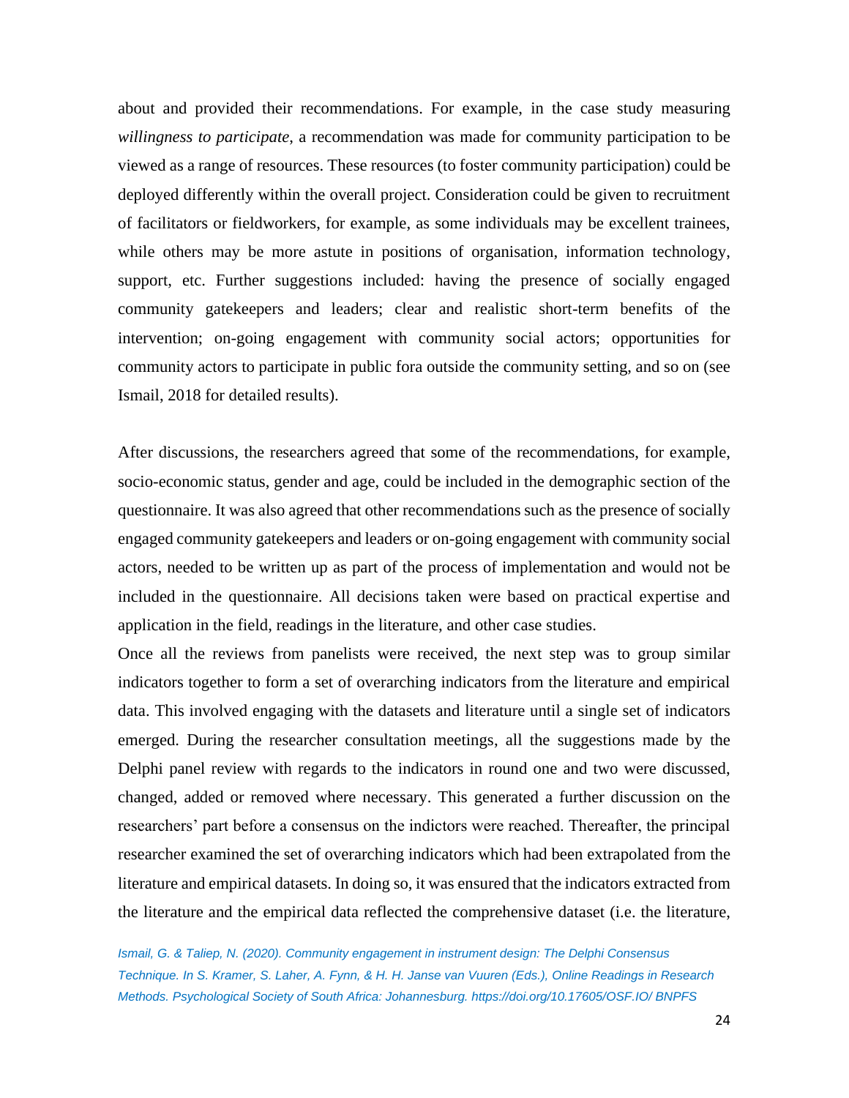about and provided their recommendations. For example, in the case study measuring *willingness to participate*, a recommendation was made for community participation to be viewed as a range of resources. These resources (to foster community participation) could be deployed differently within the overall project. Consideration could be given to recruitment of facilitators or fieldworkers, for example, as some individuals may be excellent trainees, while others may be more astute in positions of organisation, information technology, support, etc. Further suggestions included: having the presence of socially engaged community gatekeepers and leaders; clear and realistic short-term benefits of the intervention; on-going engagement with community social actors; opportunities for community actors to participate in public fora outside the community setting, and so on (see Ismail, 2018 for detailed results).

After discussions, the researchers agreed that some of the recommendations, for example, socio-economic status, gender and age, could be included in the demographic section of the questionnaire. It was also agreed that other recommendations such as the presence of socially engaged community gatekeepers and leaders or on-going engagement with community social actors, needed to be written up as part of the process of implementation and would not be included in the questionnaire. All decisions taken were based on practical expertise and application in the field, readings in the literature, and other case studies.

Once all the reviews from panelists were received, the next step was to group similar indicators together to form a set of overarching indicators from the literature and empirical data. This involved engaging with the datasets and literature until a single set of indicators emerged. During the researcher consultation meetings, all the suggestions made by the Delphi panel review with regards to the indicators in round one and two were discussed, changed, added or removed where necessary. This generated a further discussion on the researchers' part before a consensus on the indictors were reached. Thereafter, the principal researcher examined the set of overarching indicators which had been extrapolated from the literature and empirical datasets. In doing so, it was ensured that the indicators extracted from the literature and the empirical data reflected the comprehensive dataset (i.e. the literature,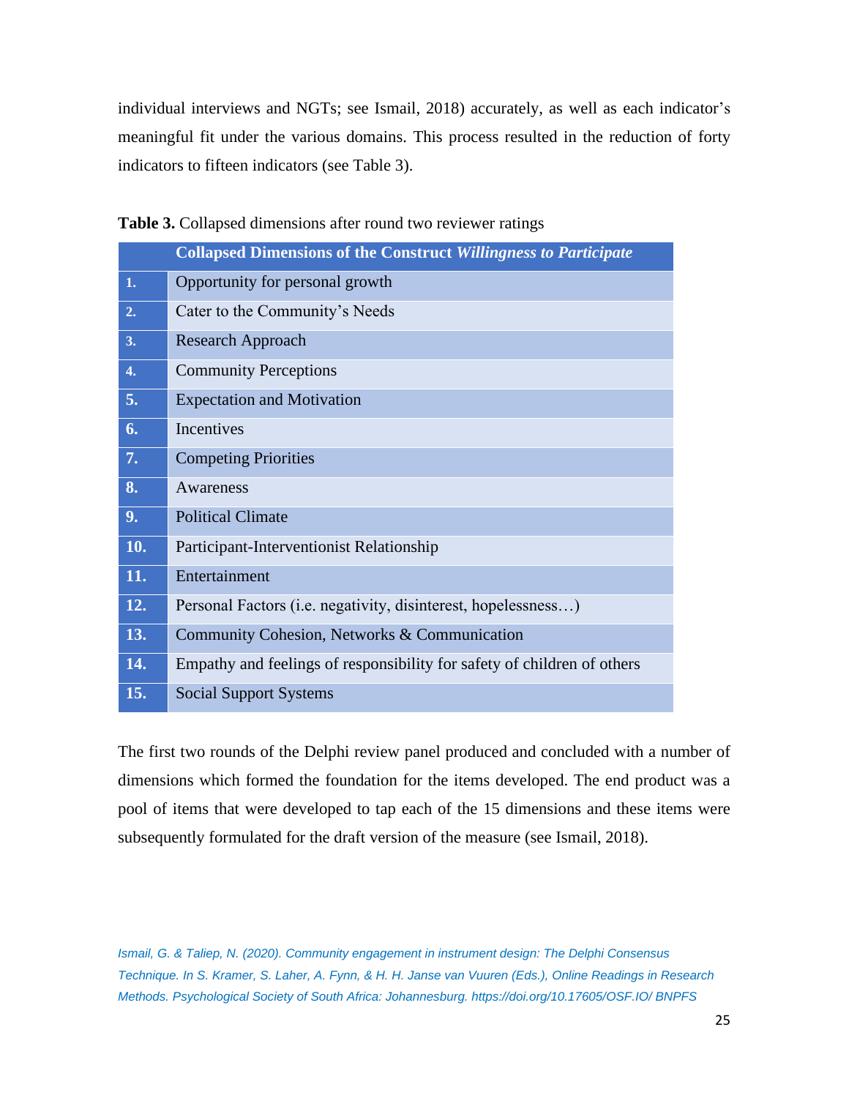individual interviews and NGTs; see Ismail, 2018) accurately, as well as each indicator's meaningful fit under the various domains. This process resulted in the reduction of forty indicators to fifteen indicators (see Table 3).

|     | <b>Collapsed Dimensions of the Construct Willingness to Participate</b> |
|-----|-------------------------------------------------------------------------|
| 1.  | Opportunity for personal growth                                         |
| 2.  | Cater to the Community's Needs                                          |
| 3.  | Research Approach                                                       |
| 4.  | <b>Community Perceptions</b>                                            |
| 5.  | <b>Expectation and Motivation</b>                                       |
| 6.  | Incentives                                                              |
| 7.  | <b>Competing Priorities</b>                                             |
| 8.  | Awareness                                                               |
| 9.  | <b>Political Climate</b>                                                |
| 10. | Participant-Interventionist Relationship                                |
| 11. | Entertainment                                                           |
| 12. | Personal Factors (i.e. negativity, disinterest, hopelessness)           |
| 13. | Community Cohesion, Networks & Communication                            |
| 14. | Empathy and feelings of responsibility for safety of children of others |
| 15. | <b>Social Support Systems</b>                                           |

**Table 3.** Collapsed dimensions after round two reviewer ratings

The first two rounds of the Delphi review panel produced and concluded with a number of dimensions which formed the foundation for the items developed. The end product was a pool of items that were developed to tap each of the 15 dimensions and these items were subsequently formulated for the draft version of the measure (see Ismail, 2018).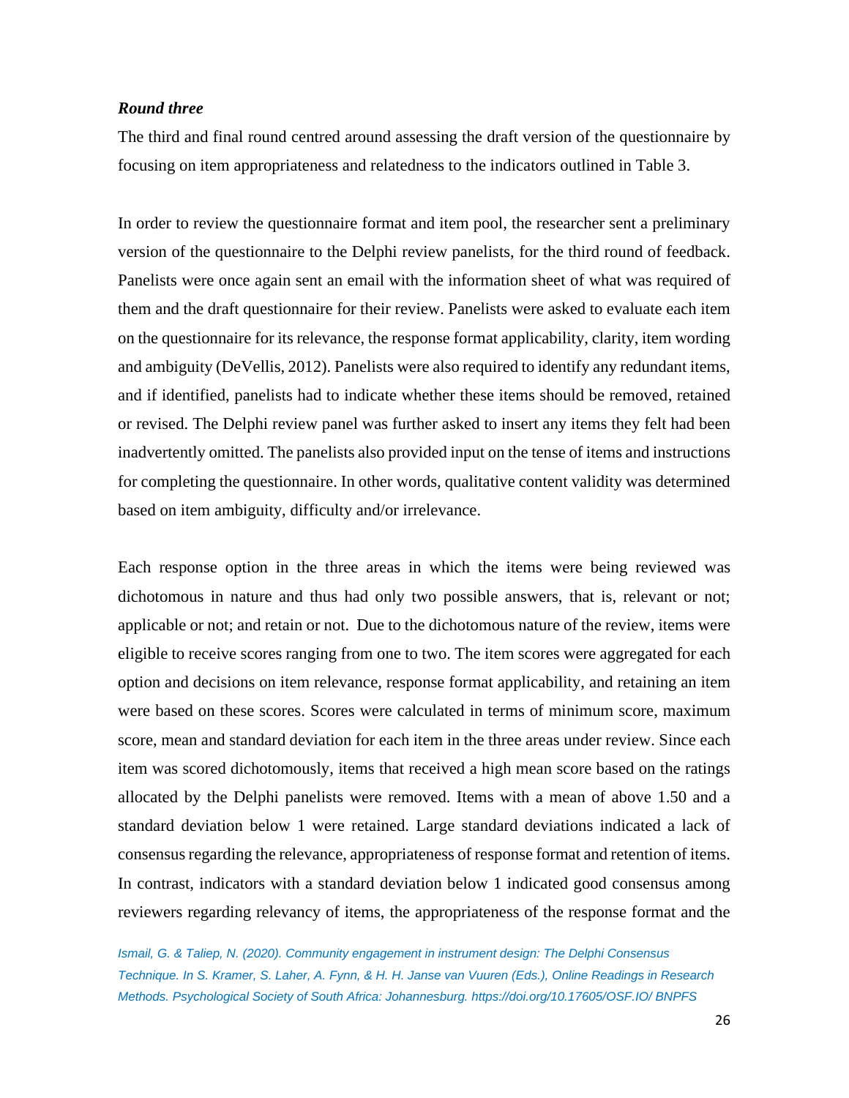## *Round three*

The third and final round centred around assessing the draft version of the questionnaire by focusing on item appropriateness and relatedness to the indicators outlined in Table 3.

In order to review the questionnaire format and item pool, the researcher sent a preliminary version of the questionnaire to the Delphi review panelists, for the third round of feedback. Panelists were once again sent an email with the information sheet of what was required of them and the draft questionnaire for their review. Panelists were asked to evaluate each item on the questionnaire for its relevance, the response format applicability, clarity, item wording and ambiguity (DeVellis, 2012). Panelists were also required to identify any redundant items, and if identified, panelists had to indicate whether these items should be removed, retained or revised. The Delphi review panel was further asked to insert any items they felt had been inadvertently omitted. The panelists also provided input on the tense of items and instructions for completing the questionnaire. In other words, qualitative content validity was determined based on item ambiguity, difficulty and/or irrelevance.

Each response option in the three areas in which the items were being reviewed was dichotomous in nature and thus had only two possible answers, that is, relevant or not; applicable or not; and retain or not. Due to the dichotomous nature of the review, items were eligible to receive scores ranging from one to two. The item scores were aggregated for each option and decisions on item relevance, response format applicability, and retaining an item were based on these scores. Scores were calculated in terms of minimum score, maximum score, mean and standard deviation for each item in the three areas under review. Since each item was scored dichotomously, items that received a high mean score based on the ratings allocated by the Delphi panelists were removed. Items with a mean of above 1.50 and a standard deviation below 1 were retained. Large standard deviations indicated a lack of consensus regarding the relevance, appropriateness of response format and retention of items. In contrast, indicators with a standard deviation below 1 indicated good consensus among reviewers regarding relevancy of items, the appropriateness of the response format and the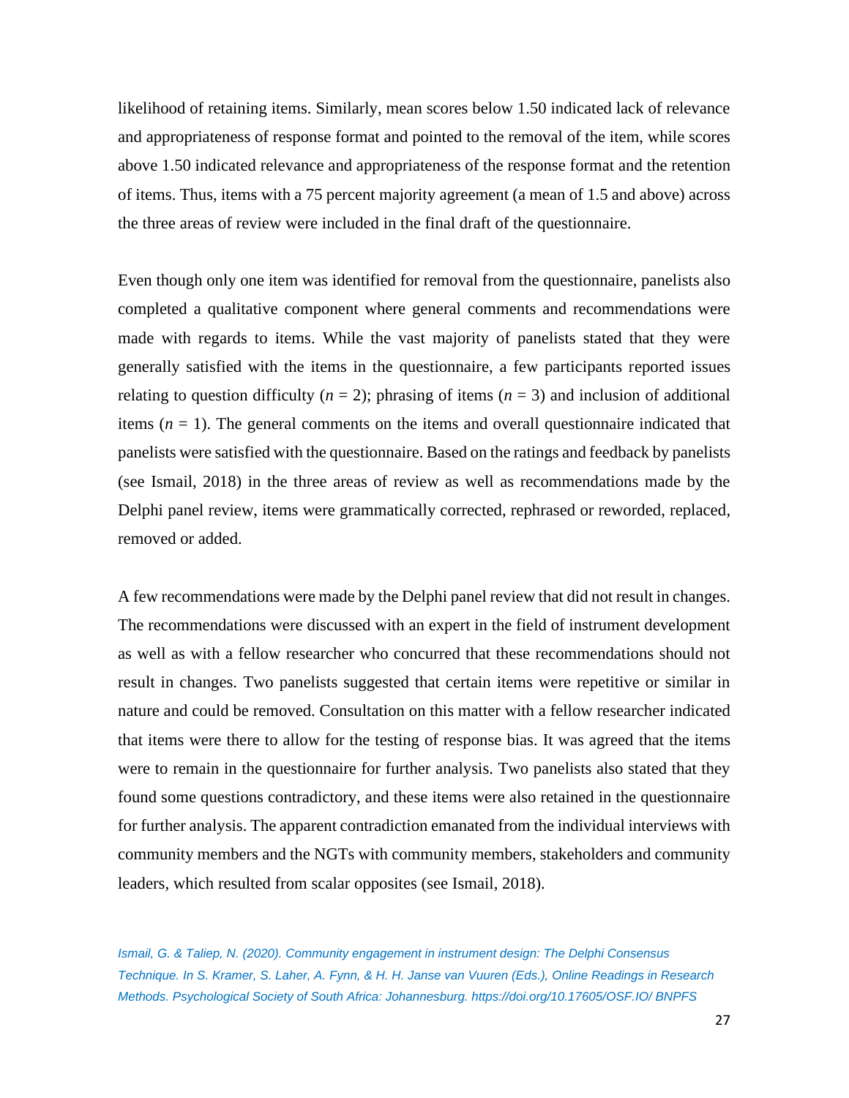likelihood of retaining items. Similarly, mean scores below 1.50 indicated lack of relevance and appropriateness of response format and pointed to the removal of the item, while scores above 1.50 indicated relevance and appropriateness of the response format and the retention of items. Thus, items with a 75 percent majority agreement (a mean of 1.5 and above) across the three areas of review were included in the final draft of the questionnaire.

Even though only one item was identified for removal from the questionnaire, panelists also completed a qualitative component where general comments and recommendations were made with regards to items. While the vast majority of panelists stated that they were generally satisfied with the items in the questionnaire, a few participants reported issues relating to question difficulty  $(n = 2)$ ; phrasing of items  $(n = 3)$  and inclusion of additional items (*n* = 1). The general comments on the items and overall questionnaire indicated that panelists were satisfied with the questionnaire. Based on the ratings and feedback by panelists (see Ismail, 2018) in the three areas of review as well as recommendations made by the Delphi panel review, items were grammatically corrected, rephrased or reworded, replaced, removed or added.

A few recommendations were made by the Delphi panel review that did not result in changes. The recommendations were discussed with an expert in the field of instrument development as well as with a fellow researcher who concurred that these recommendations should not result in changes. Two panelists suggested that certain items were repetitive or similar in nature and could be removed. Consultation on this matter with a fellow researcher indicated that items were there to allow for the testing of response bias. It was agreed that the items were to remain in the questionnaire for further analysis. Two panelists also stated that they found some questions contradictory, and these items were also retained in the questionnaire for further analysis. The apparent contradiction emanated from the individual interviews with community members and the NGTs with community members, stakeholders and community leaders, which resulted from scalar opposites (see Ismail, 2018).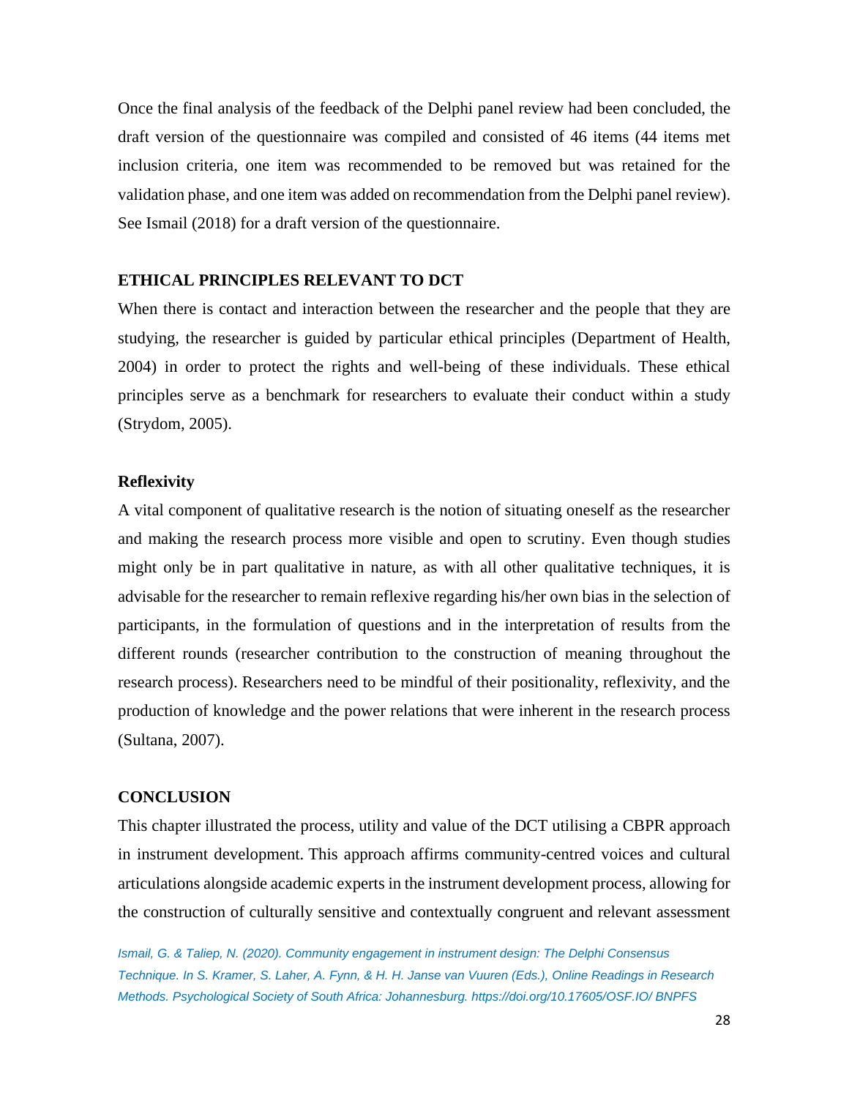Once the final analysis of the feedback of the Delphi panel review had been concluded, the draft version of the questionnaire was compiled and consisted of 46 items (44 items met inclusion criteria, one item was recommended to be removed but was retained for the validation phase, and one item was added on recommendation from the Delphi panel review). See Ismail (2018) for a draft version of the questionnaire.

#### **ETHICAL PRINCIPLES RELEVANT TO DCT**

When there is contact and interaction between the researcher and the people that they are studying, the researcher is guided by particular ethical principles (Department of Health, 2004) in order to protect the rights and well-being of these individuals. These ethical principles serve as a benchmark for researchers to evaluate their conduct within a study (Strydom, 2005).

#### **Reflexivity**

A vital component of qualitative research is the notion of situating oneself as the researcher and making the research process more visible and open to scrutiny. Even though studies might only be in part qualitative in nature, as with all other qualitative techniques, it is advisable for the researcher to remain reflexive regarding his/her own bias in the selection of participants, in the formulation of questions and in the interpretation of results from the different rounds (researcher contribution to the construction of meaning throughout the research process). Researchers need to be mindful of their positionality, reflexivity, and the production of knowledge and the power relations that were inherent in the research process (Sultana, 2007).

#### **CONCLUSION**

This chapter illustrated the process, utility and value of the DCT utilising a CBPR approach in instrument development. This approach affirms community-centred voices and cultural articulations alongside academic experts in the instrument development process, allowing for the construction of culturally sensitive and contextually congruent and relevant assessment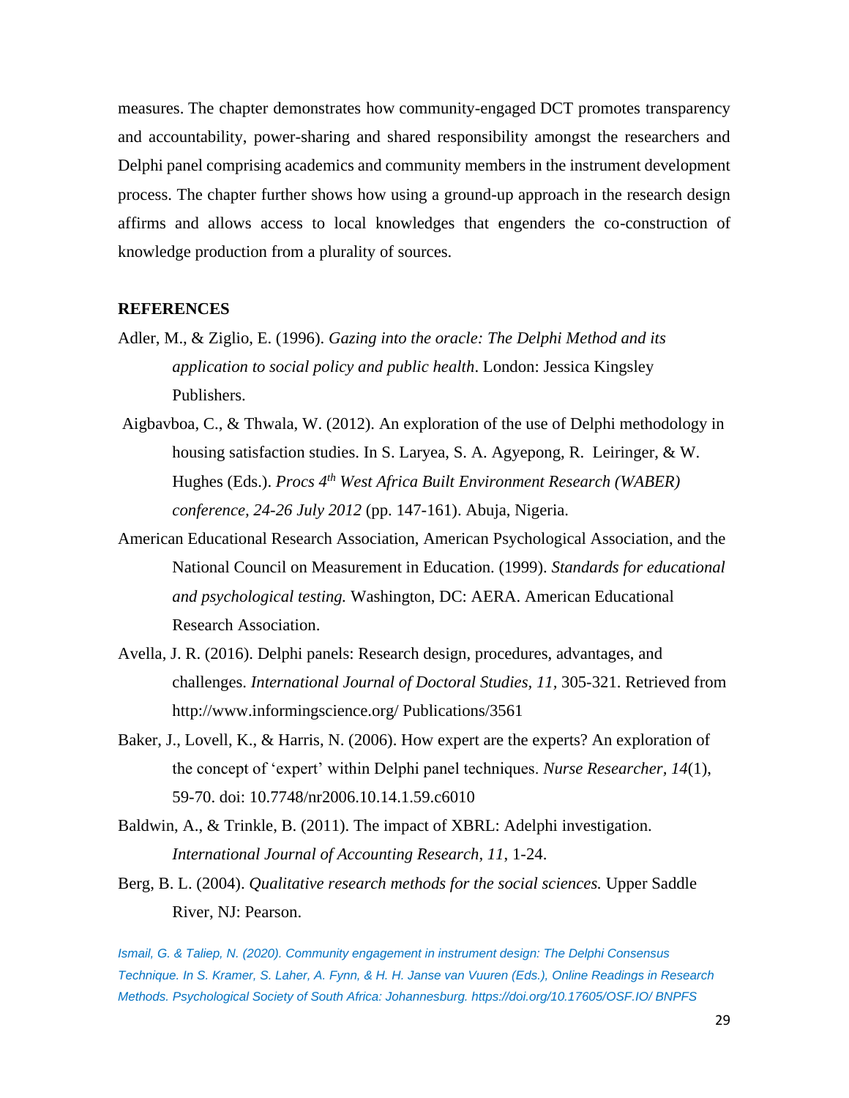measures. The chapter demonstrates how community-engaged DCT promotes transparency and accountability, power-sharing and shared responsibility amongst the researchers and Delphi panel comprising academics and community members in the instrument development process. The chapter further shows how using a ground-up approach in the research design affirms and allows access to local knowledges that engenders the co-construction of knowledge production from a plurality of sources.

#### **REFERENCES**

- Adler, M., & Ziglio, E. (1996). *Gazing into the oracle: The Delphi Method and its application to social policy and public health*. London: Jessica Kingsley Publishers.
- Aigbavboa, C., & Thwala, W. (2012). An exploration of the use of Delphi methodology in housing satisfaction studies. In S. Laryea, S. A. Agyepong, R. Leiringer, & W. Hughes (Eds.). *Procs 4th West Africa Built Environment Research (WABER) conference, 24-26 July 2012* (pp. 147-161). Abuja, Nigeria.
- American Educational Research Association, American Psychological Association, and the National Council on Measurement in Education. (1999). *Standards for educational and psychological testing.* Washington, DC: AERA. American Educational Research Association.
- Avella, J. R. (2016). Delphi panels: Research design, procedures, advantages, and challenges. *International Journal of Doctoral Studies, 11,* 305-321. Retrieved from http://www.informingscience.org/ Publications/3561
- Baker, J., Lovell, K., & Harris, N. (2006). How expert are the experts? An exploration of the concept of 'expert' within Delphi panel techniques. *Nurse Researcher, 14*(1), 59-70. doi: 10.7748/nr2006.10.14.1.59.c6010
- Baldwin, A., & Trinkle, B. (2011). The impact of XBRL: Adelphi investigation. *International Journal of Accounting Research, 11*, 1-24.
- Berg, B. L. (2004). *Qualitative research methods for the social sciences.* Upper Saddle River, NJ: Pearson.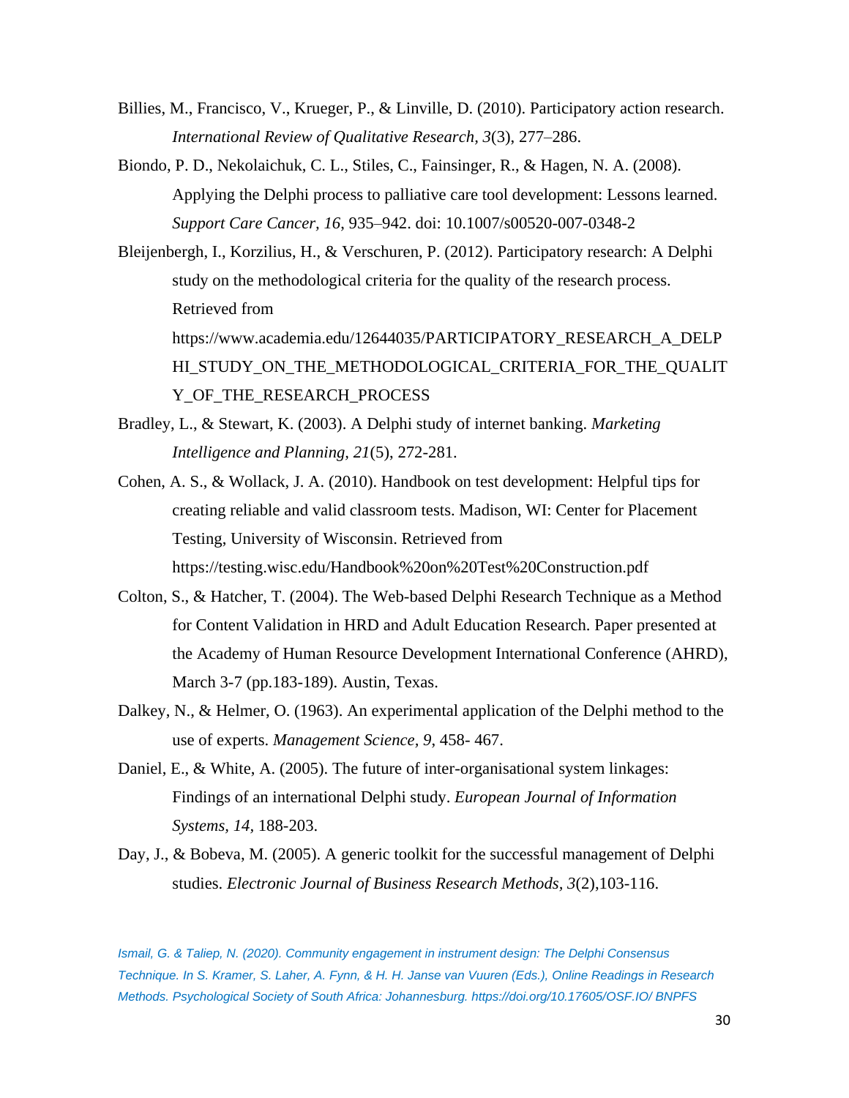- Billies, M., Francisco, V., Krueger, P., & Linville, D. (2010). Participatory action research. *International Review of Qualitative Research, 3*(3), 277–286.
- Biondo, P. D., Nekolaichuk, C. L., Stiles, C., Fainsinger, R., & Hagen, N. A. (2008). Applying the Delphi process to palliative care tool development: Lessons learned. *Support Care Cancer, 16*, 935–942. doi: 10.1007/s00520-007-0348-2
- Bleijenbergh, I., Korzilius, H., & Verschuren, P. (2012). Participatory research: A Delphi study on the methodological criteria for the quality of the research process. Retrieved from https://www.academia.edu/12644035/PARTICIPATORY\_RESEARCH\_A\_DELP HI\_STUDY\_ON\_THE\_METHODOLOGICAL\_CRITERIA\_FOR\_THE\_QUALIT Y\_OF\_THE\_RESEARCH\_PROCESS
- Bradley, L., & Stewart, K. (2003). A Delphi study of internet banking. *Marketing Intelligence and Planning, 21*(5), 272-281.
- Cohen, A. S., & Wollack, J. A. (2010). Handbook on test development: Helpful tips for creating reliable and valid classroom tests. Madison, WI: Center for Placement Testing, University of Wisconsin. Retrieved from https://testing.wisc.edu/Handbook%20on%20Test%20Construction.pdf
- Colton, S., & Hatcher, T. (2004). The Web-based Delphi Research Technique as a Method for Content Validation in HRD and Adult Education Research. Paper presented at the Academy of Human Resource Development International Conference (AHRD), March 3-7 (pp.183-189). Austin, Texas.
- Dalkey, N., & Helmer, O. (1963). An experimental application of the Delphi method to the use of experts. *Management Science, 9*, 458- 467.
- Daniel, E., & White, A. (2005). The future of inter-organisational system linkages: Findings of an international Delphi study. *European Journal of Information Systems, 14,* 188-203.
- Day, J., & Bobeva, M. (2005). A generic toolkit for the successful management of Delphi studies. *Electronic Journal of Business Research Methods, 3*(2),103-116.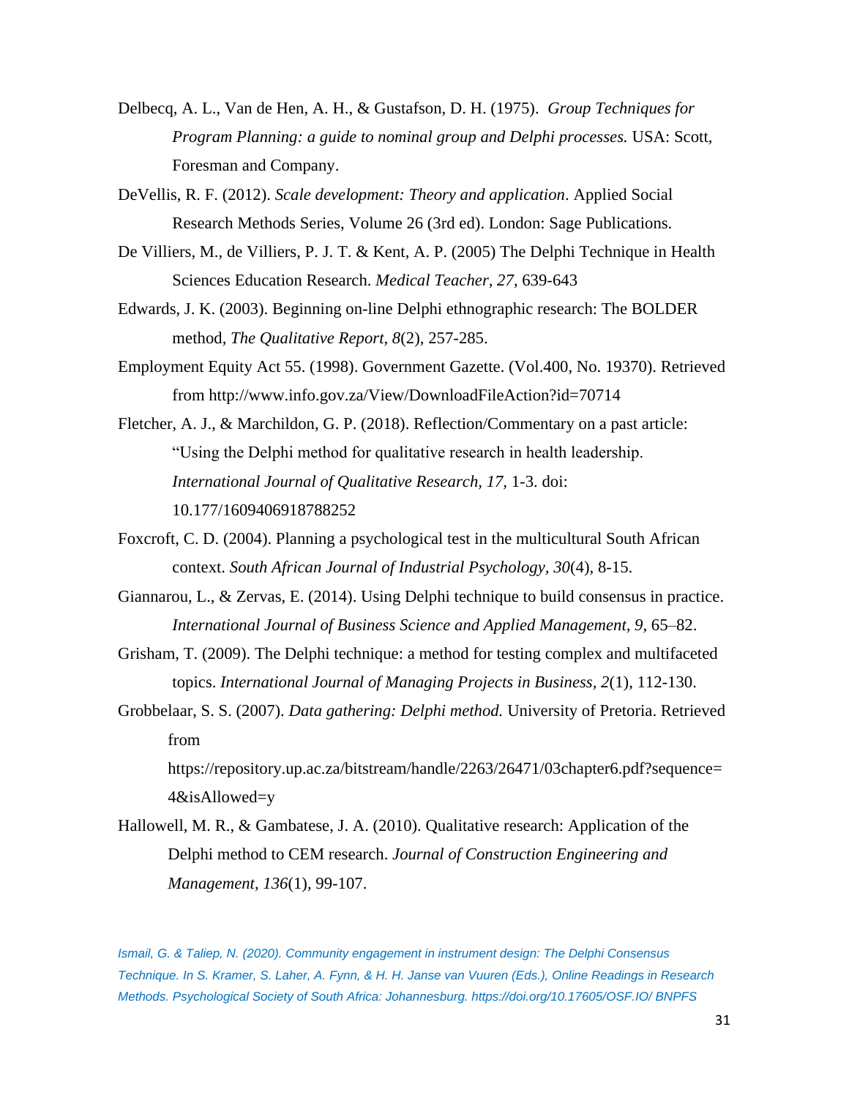- Delbecq, A. L., Van de Hen, A. H., & Gustafson, D. H. (1975). *Group Techniques for Program Planning: a guide to nominal group and Delphi processes.* USA: Scott, Foresman and Company.
- DeVellis, R. F. (2012). *Scale development: Theory and application*. Applied Social Research Methods Series, Volume 26 (3rd ed). London: Sage Publications.
- De Villiers, M., de Villiers, P. J. T. & Kent, A. P. (2005) The Delphi Technique in Health Sciences Education Research. *Medical Teacher, 27*, 639-643
- Edwards, J. K. (2003). Beginning on-line Delphi ethnographic research: The BOLDER method, *The Qualitative Report, 8*(2), 257-285.
- Employment Equity Act 55. (1998). Government Gazette. (Vol.400, No. 19370). Retrieved from http://www.info.gov.za/View/DownloadFileAction?id=70714
- Fletcher, A. J., & Marchildon, G. P. (2018). Reflection/Commentary on a past article: "Using the Delphi method for qualitative research in health leadership. *International Journal of Qualitative Research, 17,* 1-3. doi: 10.177/1609406918788252
- Foxcroft, C. D. (2004). Planning a psychological test in the multicultural South African context. *South African Journal of Industrial Psychology, 30*(4), 8-15.
- Giannarou, L., & Zervas, E. (2014). Using Delphi technique to build consensus in practice. *International Journal of Business Science and Applied Management, 9,* 65–82.
- Grisham, T. (2009). The Delphi technique: a method for testing complex and multifaceted topics. *International Journal of Managing Projects in Business, 2*(1), 112-130.
- Grobbelaar, S. S. (2007). *Data gathering: Delphi method.* University of Pretoria. Retrieved from

https://repository.up.ac.za/bitstream/handle/2263/26471/03chapter6.pdf?sequence= 4&isAllowed=y

Hallowell, M. R., & Gambatese, J. A. (2010). Qualitative research: Application of the Delphi method to CEM research. *Journal of Construction Engineering and Management, 136*(1), 99-107.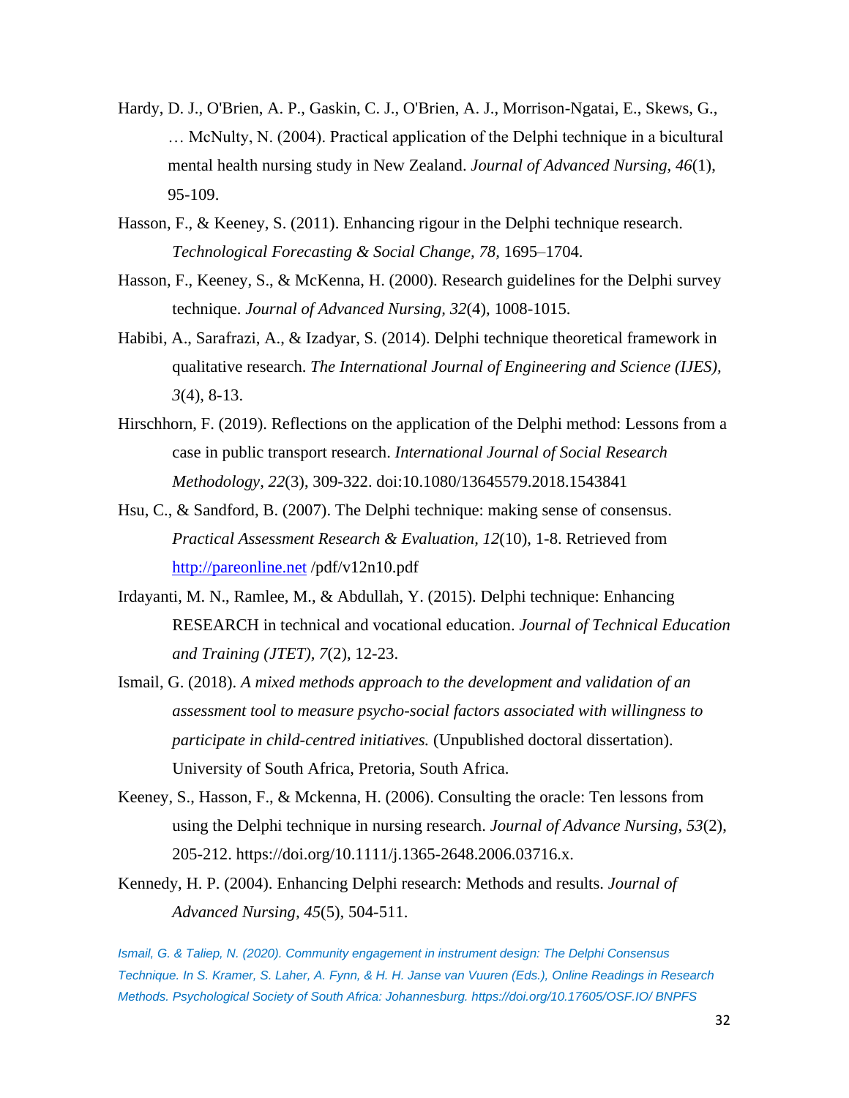- Hardy, D. J., O'Brien, A. P., Gaskin, C. J., O'Brien, A. J., Morrison-Ngatai, E., Skews, G., … McNulty, N. (2004). Practical application of the Delphi technique in a bicultural mental health nursing study in New Zealand. *Journal of Advanced Nursing, 46*(1), 95-109.
- Hasson, F., & Keeney, S. (2011). Enhancing rigour in the Delphi technique research. *Technological Forecasting & Social Change, 78,* 1695–1704.
- Hasson, F., Keeney, S., & McKenna, H. (2000). Research guidelines for the Delphi survey technique. *Journal of Advanced Nursing, 32*(4), 1008-1015.
- Habibi, A., Sarafrazi, A., & Izadyar, S. (2014). Delphi technique theoretical framework in qualitative research. *The International Journal of Engineering and Science (IJES), 3*(4), 8-13.
- Hirschhorn, F. (2019). Reflections on the application of the Delphi method: Lessons from a case in public transport research. *International Journal of Social Research Methodology, 22*(3), 309-322. doi:10.1080/13645579.2018.1543841
- Hsu, C., & Sandford, B. (2007). The Delphi technique: making sense of consensus. *Practical Assessment Research & Evaluation, 12*(10), 1-8. Retrieved from [http://pareonline.net](http://pareonline.net/) /pdf/v12n10.pdf
- Irdayanti, M. N., Ramlee, M., & Abdullah, Y. (2015). Delphi technique: Enhancing RESEARCH in technical and vocational education. *Journal of Technical Education and Training (JTET), 7*(2), 12-23.
- Ismail, G. (2018). *A mixed methods approach to the development and validation of an assessment tool to measure psycho-social factors associated with willingness to participate in child-centred initiatives.* (Unpublished doctoral dissertation). University of South Africa, Pretoria, South Africa.
- Keeney, S., Hasson, F., & Mckenna, H. (2006). Consulting the oracle: Ten lessons from using the Delphi technique in nursing research. *Journal of Advance Nursing*, *53*(2), 205-212. https://doi.org/10.1111/j.1365-2648.2006.03716.x.
- Kennedy, H. P. (2004). Enhancing Delphi research: Methods and results. *Journal of Advanced Nursing, 45*(5)*,* 504-511.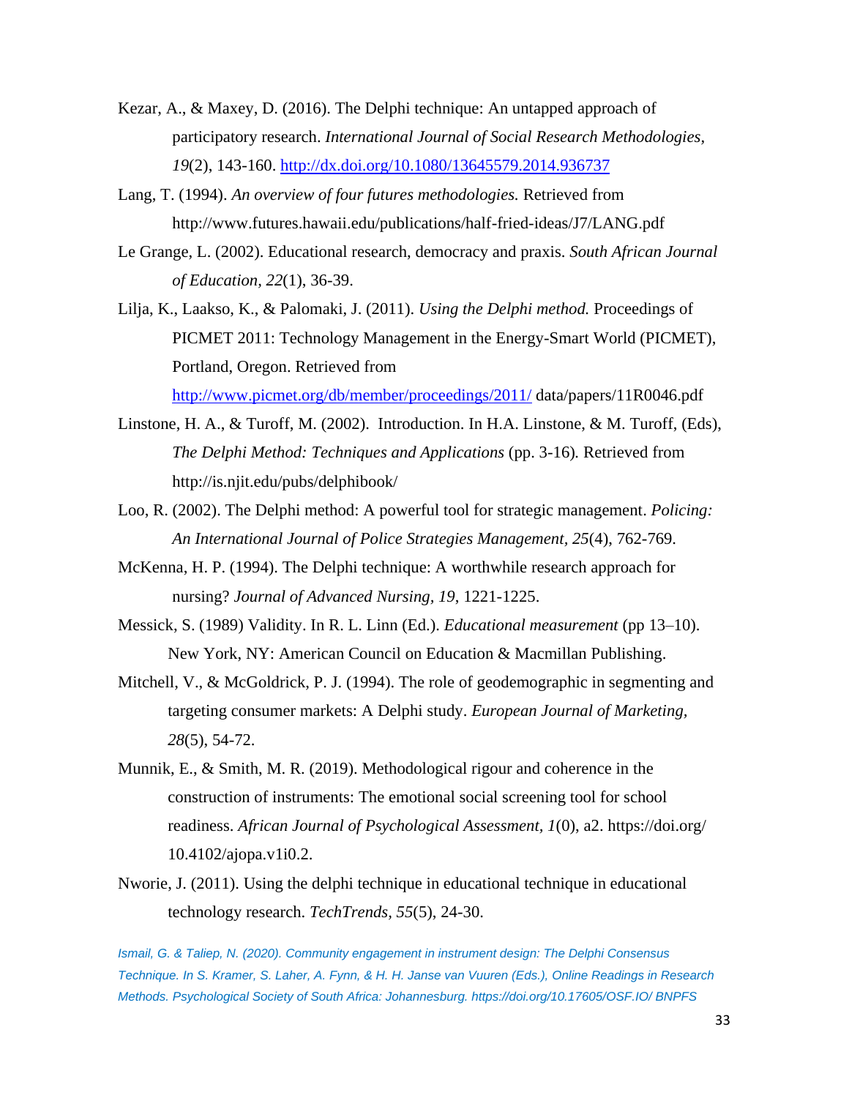- Kezar, A., & Maxey, D. (2016). The Delphi technique: An untapped approach of participatory research. *International Journal of Social Research Methodologies, 19*(2), 143-160.<http://dx.doi.org/10.1080/13645579.2014.936737>
- Lang, T. (1994). *An overview of four futures methodologies.* Retrieved from http://www.futures.hawaii.edu/publications/half-fried-ideas/J7/LANG.pdf
- Le Grange, L. (2002). Educational research, democracy and praxis. *South African Journal of Education, 22*(1), 36-39.
- Lilja, K., Laakso, K., & Palomaki, J. (2011). *Using the Delphi method.* Proceedings of PICMET 2011: Technology Management in the Energy-Smart World (PICMET), Portland, Oregon. Retrieved from

<http://www.picmet.org/db/member/proceedings/2011/> data/papers/11R0046.pdf

- Linstone, H. A., & Turoff, M. (2002). Introduction. In H.A. Linstone, & M. Turoff, (Eds), *The Delphi Method: Techniques and Applications* (pp. 3-16)*.* Retrieved from http://is.njit.edu/pubs/delphibook/
- Loo, R. (2002). The Delphi method: A powerful tool for strategic management. *Policing: An International Journal of Police Strategies Management, 25*(4), 762-769.
- McKenna, H. P. (1994). The Delphi technique: A worthwhile research approach for nursing? *Journal of Advanced Nursing, 19*, 1221-1225.
- Messick, S. (1989) Validity. In R. L. Linn (Ed.). *Educational measurement* (pp 13–10). New York, NY: American Council on Education & Macmillan Publishing.
- Mitchell, V., & McGoldrick, P. J. (1994). The role of geodemographic in segmenting and targeting consumer markets: A Delphi study. *European Journal of Marketing, 28*(5), 54-72.
- Munnik, E., & Smith, M. R. (2019). Methodological rigour and coherence in the construction of instruments: The emotional social screening tool for school readiness. *African Journal of Psychological Assessment, 1*(0), a2. https://doi.org/ 10.4102/ajopa.v1i0.2.
- Nworie, J. (2011). Using the delphi technique in educational technique in educational technology research. *TechTrends, 55*(5), 24-30.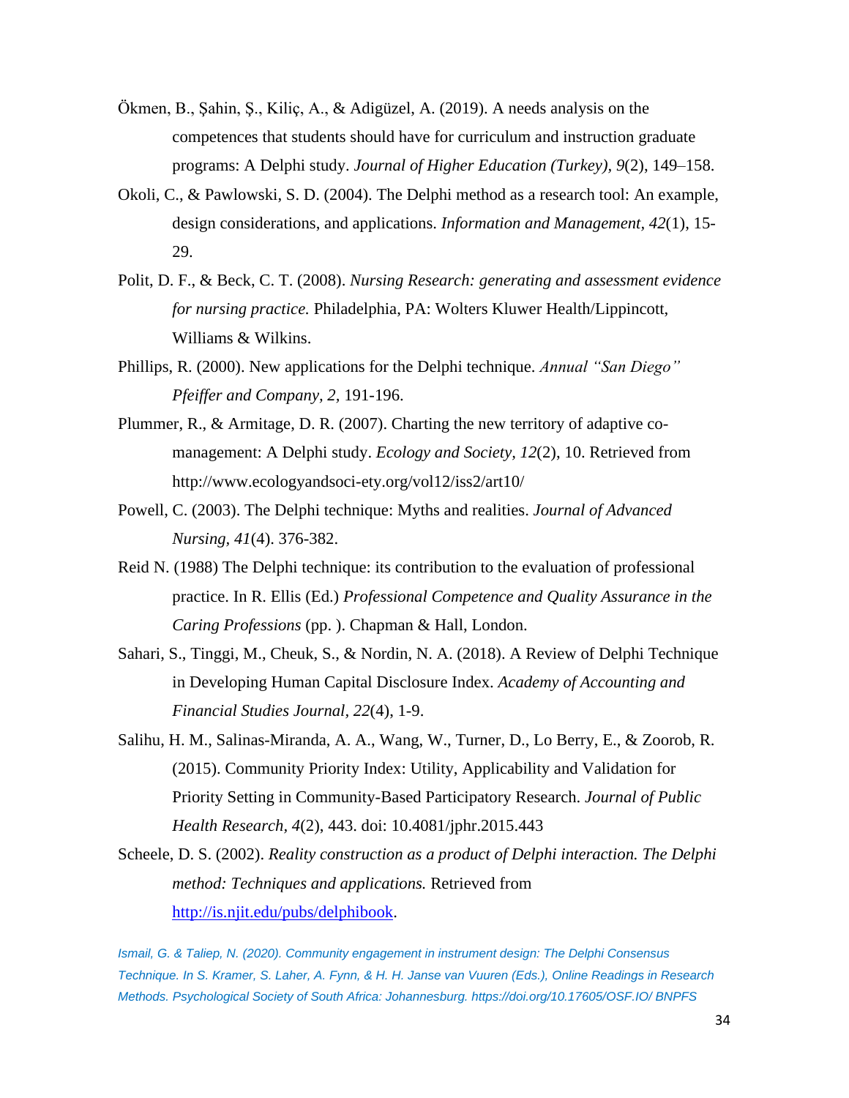- Ökmen, B., Şahin, Ş., Kiliç, A., & Adigüzel, A. (2019). A needs analysis on the competences that students should have for curriculum and instruction graduate programs: A Delphi study. *Journal of Higher Education (Turkey), 9*(2), 149–158.
- Okoli, C., & Pawlowski, S. D. (2004). The Delphi method as a research tool: An example, design considerations, and applications. *Information and Management, 42*(1), 15- 29.
- Polit, D. F., & Beck, C. T. (2008). *Nursing Research: generating and assessment evidence for nursing practice.* Philadelphia, PA: Wolters Kluwer Health/Lippincott, Williams & Wilkins.
- Phillips, R. (2000). New applications for the Delphi technique. *Annual "San Diego" Pfeiffer and Company, 2,* 191-196.
- Plummer, R., & Armitage, D. R. (2007). Charting the new territory of adaptive comanagement: A Delphi study. *Ecology and Society, 12*(2), 10. Retrieved from http://www.ecologyandsoci-ety.org/vol12/iss2/art10/
- Powell, C. (2003). The Delphi technique: Myths and realities. *Journal of Advanced Nursing, 41*(4). 376-382.
- Reid N. (1988) The Delphi technique: its contribution to the evaluation of professional practice. In R. Ellis (Ed.) *Professional Competence and Quality Assurance in the Caring Professions* (pp. ). Chapman & Hall, London.
- Sahari, S., Tinggi, M., Cheuk, S., & Nordin, N. A. (2018). A Review of Delphi Technique in Developing Human Capital Disclosure Index. *Academy of Accounting and Financial Studies Journal, 22*(4), 1-9.
- Salihu, H. M., Salinas-Miranda, A. A., Wang, W., Turner, D., Lo Berry, E., & Zoorob, R. (2015). Community Priority Index: Utility, Applicability and Validation for Priority Setting in Community-Based Participatory Research. *Journal of Public Health Research, 4*(2), 443. doi: 10.4081/jphr.2015.443
- Scheele, D. S. (2002). *Reality construction as a product of Delphi interaction. The Delphi method: Techniques and applications.* Retrieved from [http://is.njit.edu/pubs/delphibook.](http://is.njit.edu/pubs/delphibook)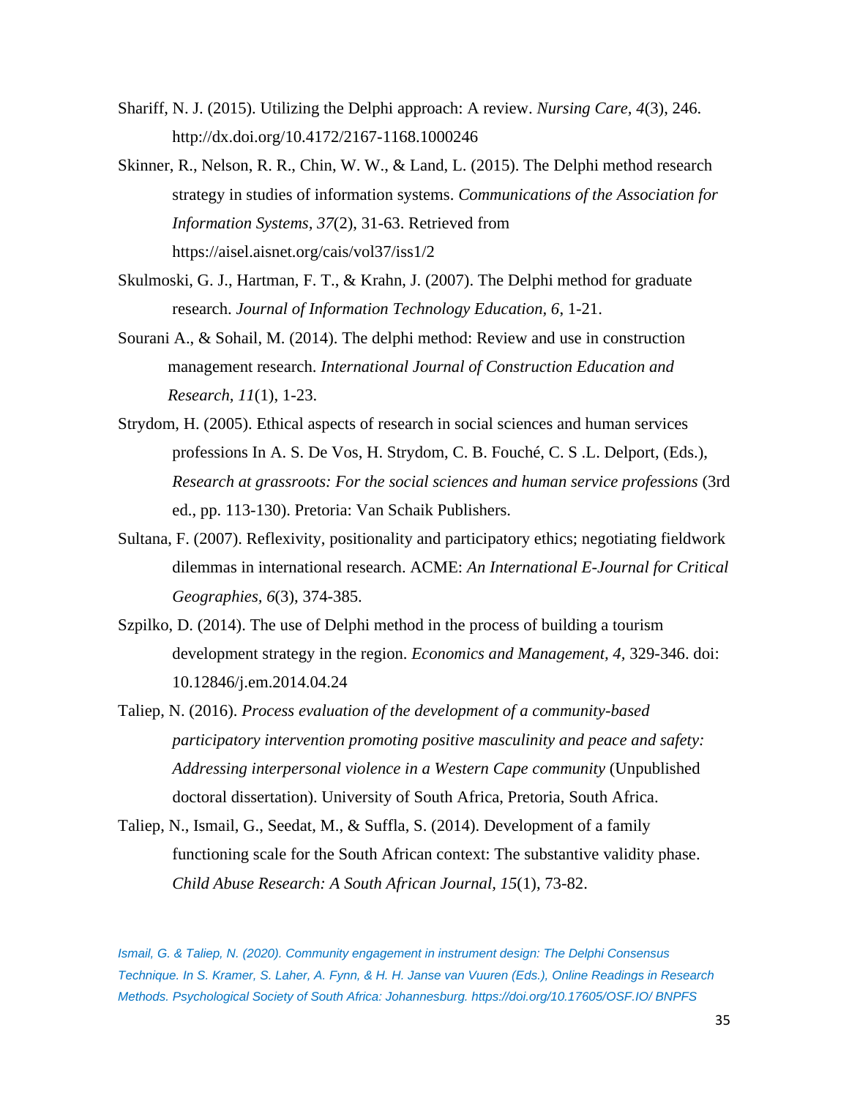- Shariff, N. J. (2015). Utilizing the Delphi approach: A review. *Nursing Care, 4*(3), 246. http://dx.doi.org/10.4172/2167-1168.1000246
- Skinner, R., Nelson, R. R., Chin, W. W., & Land, L. (2015). The Delphi method research strategy in studies of information systems. *Communications of the Association for Information Systems, 37*(2), 31-63. Retrieved from https://aisel.aisnet.org/cais/vol37/iss1/2
- Skulmoski, G. J., Hartman, F. T., & Krahn, J. (2007). The Delphi method for graduate research. *Journal of Information Technology Education, 6*, 1-21.
- Sourani A., & Sohail, M. (2014). The delphi method: Review and use in construction management research. *International Journal of Construction Education and Research, 11*(1), 1-23.
- Strydom, H. (2005). Ethical aspects of research in social sciences and human services professions In A. S. De Vos, H. Strydom, C. B. Fouché, C. S .L. Delport, (Eds.), *Research at grassroots: For the social sciences and human service professions* (3rd ed., pp. 113-130). Pretoria: Van Schaik Publishers.
- Sultana, F. (2007). Reflexivity, positionality and participatory ethics; negotiating fieldwork dilemmas in international research. ACME: *An International E-Journal for Critical Geographies, 6*(3), 374-385.
- Szpilko, D. (2014). The use of Delphi method in the process of building a tourism development strategy in the region. *Economics and Management, 4,* 329-346. doi: 10.12846/j.em.2014.04.24
- Taliep, N. (2016). *Process evaluation of the development of a community-based participatory intervention promoting positive masculinity and peace and safety: Addressing interpersonal violence in a Western Cape community* (Unpublished doctoral dissertation). University of South Africa, Pretoria, South Africa.
- Taliep, N., Ismail, G., Seedat, M., & Suffla, S. (2014). Development of a family functioning scale for the South African context: The substantive validity phase. *Child Abuse Research: A South African Journal, 15*(1), 73-82.